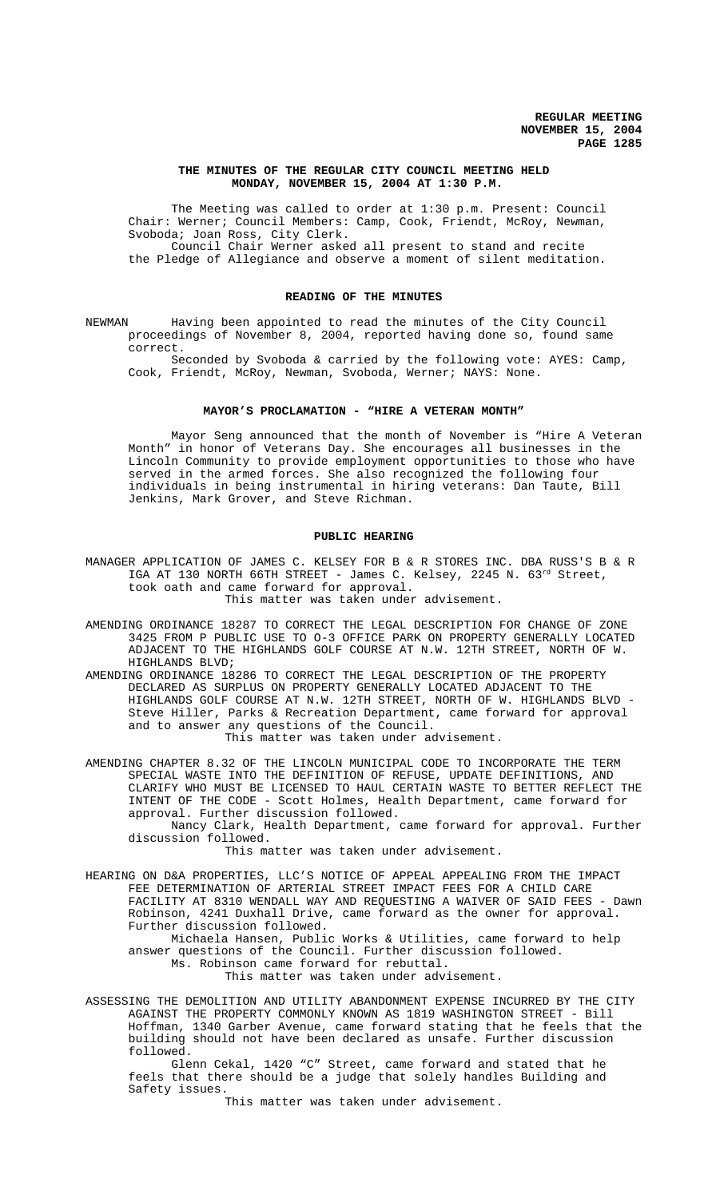### **THE MINUTES OF THE REGULAR CITY COUNCIL MEETING HELD MONDAY, NOVEMBER 15, 2004 AT 1:30 P.M.**

The Meeting was called to order at 1:30 p.m. Present: Council Chair: Werner; Council Members: Camp, Cook, Friendt, McRoy, Newman, Svoboda; Joan Ross, City Clerk. Council Chair Werner asked all present to stand and recite the Pledge of Allegiance and observe a moment of silent meditation.

#### **READING OF THE MINUTES**

NEWMAN Having been appointed to read the minutes of the City Council proceedings of November 8, 2004, reported having done so, found same correct.

Seconded by Svoboda & carried by the following vote: AYES: Camp, Cook, Friendt, McRoy, Newman, Svoboda, Werner; NAYS: None.

### **MAYOR'S PROCLAMATION - "HIRE A VETERAN MONTH"**

Mayor Seng announced that the month of November is "Hire A Veteran Month" in honor of Veterans Day. She encourages all businesses in the Lincoln Community to provide employment opportunities to those who have served in the armed forces. She also recognized the following four individuals in being instrumental in hiring veterans: Dan Taute, Bill Jenkins, Mark Grover, and Steve Richman.

### **PUBLIC HEARING**

MANAGER APPLICATION OF JAMES C. KELSEY FOR B & R STORES INC. DBA RUSS'S B & R IGA AT 130 NORTH 66TH STREET - James C. Kelsey, 2245 N. 63rd Street, took oath and came forward for approval. This matter was taken under advisement.

- AMENDING ORDINANCE 18287 TO CORRECT THE LEGAL DESCRIPTION FOR CHANGE OF ZONE 3425 FROM P PUBLIC USE TO O-3 OFFICE PARK ON PROPERTY GENERALLY LOCATED ADJACENT TO THE HIGHLANDS GOLF COURSE AT N.W. 12TH STREET, NORTH OF W. HIGHLANDS BLVD;
- AMENDING ORDINANCE 18286 TO CORRECT THE LEGAL DESCRIPTION OF THE PROPERTY DECLARED AS SURPLUS ON PROPERTY GENERALLY LOCATED ADJACENT TO THE HIGHLANDS GOLF COURSE AT N.W. 12TH STREET, NORTH OF W. HIGHLANDS BLVD - Steve Hiller, Parks & Recreation Department, came forward for approval and to answer any questions of the Council. This matter was taken under advisement.

AMENDING CHAPTER 8.32 OF THE LINCOLN MUNICIPAL CODE TO INCORPORATE THE TERM SPECIAL WASTE INTO THE DEFINITION OF REFUSE, UPDATE DEFINITIONS, AND CLARIFY WHO MUST BE LICENSED TO HAUL CERTAIN WASTE TO BETTER REFLECT THE INTENT OF THE CODE - Scott Holmes, Health Department, came forward for approval. Further discussion followed.

Nancy Clark, Health Department, came forward for approval. Further discussion followed.

This matter was taken under advisement.

HEARING ON D&A PROPERTIES, LLC'S NOTICE OF APPEAL APPEALING FROM THE IMPACT FEE DETERMINATION OF ARTERIAL STREET IMPACT FEES FOR A CHILD CARE FACILITY AT 8310 WENDALL WAY AND REQUESTING A WAIVER OF SAID FEES - Dawn Robinson, 4241 Duxhall Drive, came forward as the owner for approval. Further discussion followed.

Michaela Hansen, Public Works & Utilities, came forward to help answer questions of the Council. Further discussion followed. Ms. Robinson came forward for rebuttal. This matter was taken under advisement.

ASSESSING THE DEMOLITION AND UTILITY ABANDONMENT EXPENSE INCURRED BY THE CITY AGAINST THE PROPERTY COMMONLY KNOWN AS 1819 WASHINGTON STREET - Bill Hoffman, 1340 Garber Avenue, came forward stating that he feels that the building should not have been declared as unsafe. Further discussion followed.

Glenn Cekal, 1420 "C" Street, came forward and stated that he feels that there should be a judge that solely handles Building and Safety issues.

This matter was taken under advisement.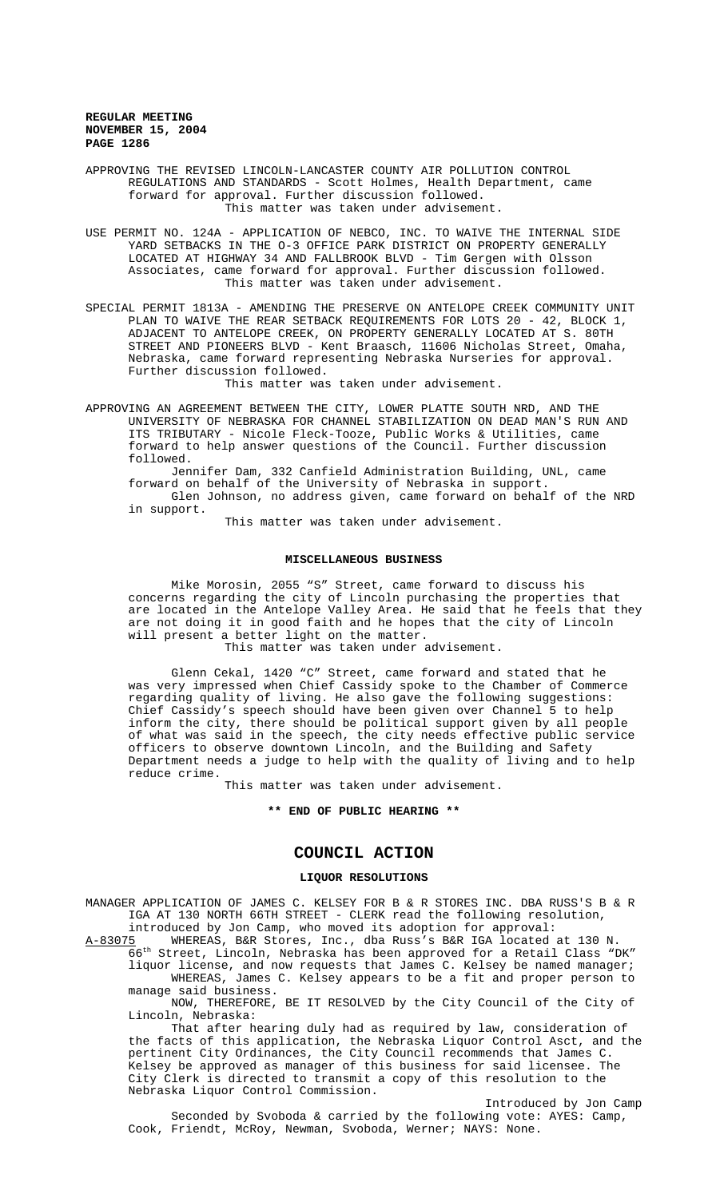APPROVING THE REVISED LINCOLN-LANCASTER COUNTY AIR POLLUTION CONTROL REGULATIONS AND STANDARDS - Scott Holmes, Health Department, came forward for approval. Further discussion followed. This matter was taken under advisement.

USE PERMIT NO. 124A - APPLICATION OF NEBCO, INC. TO WAIVE THE INTERNAL SIDE YARD SETBACKS IN THE O-3 OFFICE PARK DISTRICT ON PROPERTY GENERALLY LOCATED AT HIGHWAY 34 AND FALLBROOK BLVD - Tim Gergen with Olsson Associates, came forward for approval. Further discussion followed. This matter was taken under advisement.

SPECIAL PERMIT 1813A - AMENDING THE PRESERVE ON ANTELOPE CREEK COMMUNITY UNIT PLAN TO WAIVE THE REAR SETBACK REQUIREMENTS FOR LOTS 20 - 42, BLOCK 1, ADJACENT TO ANTELOPE CREEK, ON PROPERTY GENERALLY LOCATED AT S. 80TH STREET AND PIONEERS BLVD - Kent Braasch, 11606 Nicholas Street, Omaha, Nebraska, came forward representing Nebraska Nurseries for approval. Further discussion followed.

This matter was taken under advisement.

APPROVING AN AGREEMENT BETWEEN THE CITY, LOWER PLATTE SOUTH NRD, AND THE UNIVERSITY OF NEBRASKA FOR CHANNEL STABILIZATION ON DEAD MAN'S RUN AND ITS TRIBUTARY - Nicole Fleck-Tooze, Public Works & Utilities, came forward to help answer questions of the Council. Further discussion followed.

Jennifer Dam, 332 Canfield Administration Building, UNL, came forward on behalf of the University of Nebraska in support. Glen Johnson, no address given, came forward on behalf of the NRD in support.

This matter was taken under advisement.

### **MISCELLANEOUS BUSINESS**

Mike Morosin, 2055 "S" Street, came forward to discuss his concerns regarding the city of Lincoln purchasing the properties that are located in the Antelope Valley Area. He said that he feels that they are not doing it in good faith and he hopes that the city of Lincoln will present a better light on the matter. This matter was taken under advisement.

Glenn Cekal, 1420 "C" Street, came forward and stated that he was very impressed when Chief Cassidy spoke to the Chamber of Commerce regarding quality of living. He also gave the following suggestions: Chief Cassidy's speech should have been given over Channel 5 to help inform the city, there should be political support given by all people of what was said in the speech, the city needs effective public service officers to observe downtown Lincoln, and the Building and Safety Department needs a judge to help with the quality of living and to help reduce crime.

This matter was taken under advisement.

#### **\*\* END OF PUBLIC HEARING \*\***

# **COUNCIL ACTION**

### **LIQUOR RESOLUTIONS**

MANAGER APPLICATION OF JAMES C. KELSEY FOR B & R STORES INC. DBA RUSS'S B & R IGA AT 130 NORTH 66TH STREET - CLERK read the following resolution,

introduced by Jon Camp, who moved its adoption for approval:<br>A-83075 WHEREAS, B&R Stores, Inc., dba Russ's B&R IGA located a WHEREAS, B&R Stores, Inc., dba Russ's B&R IGA located at 130 N. 66th Street, Lincoln, Nebraska has been approved for a Retail Class "DK" liquor license, and now requests that James C. Kelsey be named manager;

WHEREAS, James C. Kelsey appears to be a fit and proper person to manage said business.

NOW, THEREFORE, BE IT RESOLVED by the City Council of the City of Lincoln, Nebraska:

That after hearing duly had as required by law, consideration of the facts of this application, the Nebraska Liquor Control Asct, and the pertinent City Ordinances, the City Council recommends that James C. Kelsey be approved as manager of this business for said licensee. The City Clerk is directed to transmit a copy of this resolution to the Nebraska Liquor Control Commission.

Introduced by Jon Camp Seconded by Svoboda & carried by the following vote: AYES: Camp, Cook, Friendt, McRoy, Newman, Svoboda, Werner; NAYS: None.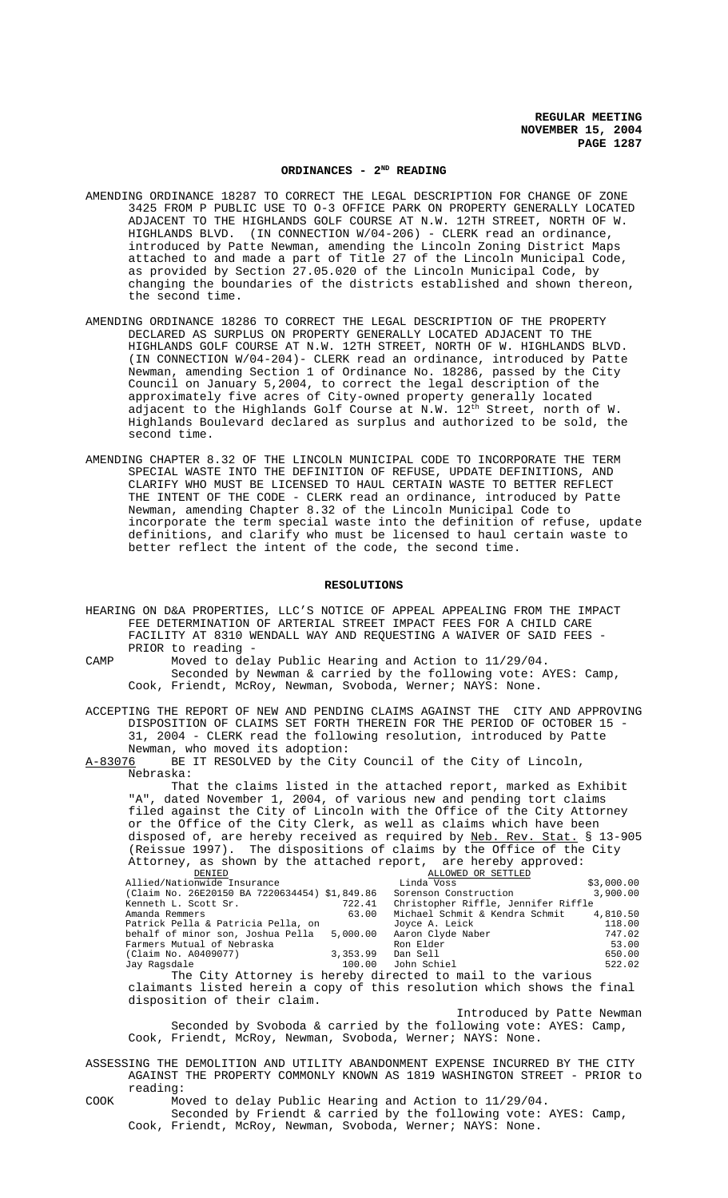# **ORDINANCES - 2ND READING**

- AMENDING ORDINANCE 18287 TO CORRECT THE LEGAL DESCRIPTION FOR CHANGE OF ZONE 3425 FROM P PUBLIC USE TO O-3 OFFICE PARK ON PROPERTY GENERALLY LOCATED ADJACENT TO THE HIGHLANDS GOLF COURSE AT N.W. 12TH STREET, NORTH OF W. HIGHLANDS BLVD. (IN CONNECTION W/04-206) - CLERK read an ordinance, introduced by Patte Newman, amending the Lincoln Zoning District Maps attached to and made a part of Title 27 of the Lincoln Municipal Code, as provided by Section 27.05.020 of the Lincoln Municipal Code, by changing the boundaries of the districts established and shown thereon, the second time.
- AMENDING ORDINANCE 18286 TO CORRECT THE LEGAL DESCRIPTION OF THE PROPERTY DECLARED AS SURPLUS ON PROPERTY GENERALLY LOCATED ADJACENT TO THE HIGHLANDS GOLF COURSE AT N.W. 12TH STREET, NORTH OF W. HIGHLANDS BLVD. (IN CONNECTION W/04-204)- CLERK read an ordinance, introduced by Patte Newman, amending Section 1 of Ordinance No. 18286, passed by the City Council on January 5,2004, to correct the legal description of the approximately five acres of City-owned property generally located adjacent to the Highlands Golf Course at N.W. 12<sup>th</sup> Street, north of W. Highlands Boulevard declared as surplus and authorized to be sold, the second time.
- AMENDING CHAPTER 8.32 OF THE LINCOLN MUNICIPAL CODE TO INCORPORATE THE TERM SPECIAL WASTE INTO THE DEFINITION OF REFUSE, UPDATE DEFINITIONS, AND CLARIFY WHO MUST BE LICENSED TO HAUL CERTAIN WASTE TO BETTER REFLECT THE INTENT OF THE CODE - CLERK read an ordinance, introduced by Patte Newman, amending Chapter 8.32 of the Lincoln Municipal Code to incorporate the term special waste into the definition of refuse, update definitions, and clarify who must be licensed to haul certain waste to better reflect the intent of the code, the second time.

#### **RESOLUTIONS**

- HEARING ON D&A PROPERTIES, LLC'S NOTICE OF APPEAL APPEALING FROM THE IMPACT FEE DETERMINATION OF ARTERIAL STREET IMPACT FEES FOR A CHILD CARE FACILITY AT 8310 WENDALL WAY AND REQUESTING A WAIVER OF SAID FEES - PRIOR to reading -
- CAMP Moved to delay Public Hearing and Action to 11/29/04. Seconded by Newman & carried by the following vote: AYES: Camp, Cook, Friendt, McRoy, Newman, Svoboda, Werner; NAYS: None.

ACCEPTING THE REPORT OF NEW AND PENDING CLAIMS AGAINST THE CITY AND APPROVING DISPOSITION OF CLAIMS SET FORTH THEREIN FOR THE PERIOD OF OCTOBER 15 - 31, 2004 - CLERK read the following resolution, introduced by Patte

Newman, who moved its adoption:<br>A-83076 BE IT RESOLVED by the Cit BE IT RESOLVED by the City Council of the City of Lincoln, Nebraska:

That the claims listed in the attached report, marked as Exhibit "A", dated November 1, 2004, of various new and pending tort claims filed against the City of Lincoln with the Office of the City Attorney or the Office of the City Clerk, as well as claims which have been disposed of, are hereby received as required by Neb. Rev. Stat. § 13-905 (Reissue 1997). The dispositions of claims by the Office of the City Attorney, as shown by the attached report, are hereby approved:

| DENIED                                                       |          | ALLOWED OR SETTLED                  |            |
|--------------------------------------------------------------|----------|-------------------------------------|------------|
| Allied/Nationwide Insurance                                  |          | Linda Voss                          | \$3,000.00 |
| (Claim No. 26E20150 BA 7220634454) \$1,849.86                |          | Sorenson Construction               | 3,900.00   |
| Kenneth L. Scott Sr.                                         | 722.41   | Christopher Riffle, Jennifer Riffle |            |
| Amanda Remmers                                               | 63.00    | Michael Schmit & Kendra Schmit      | 4,810.50   |
| Patrick Pella & Patricia Pella, on                           |          | Joyce A. Leick                      | 118.00     |
| behalf of minor son, Joshua Pella 5,000.00 Aaron Clyde Naber |          |                                     | 747.02     |
| Farmers Mutual of Nebraska                                   |          | Ron Elder                           | 53.00      |
| (Claim No. A0409077)                                         | 3,353.99 | Dan Sell                            | 650.00     |
| Jay Ragsdale                                                 |          | 100.00 John Schiel                  | 522.02     |
|                                                              |          |                                     |            |

The City Attorney is hereby directed to mail to the various claimants listed herein a copy of this resolution which shows the final disposition of their claim.

Introduced by Patte Newman Seconded by Svoboda & carried by the following vote: AYES: Camp, Cook, Friendt, McRoy, Newman, Svoboda, Werner; NAYS: None.

ASSESSING THE DEMOLITION AND UTILITY ABANDONMENT EXPENSE INCURRED BY THE CITY AGAINST THE PROPERTY COMMONLY KNOWN AS 1819 WASHINGTON STREET - PRIOR to reading:

COOK Moved to delay Public Hearing and Action to 11/29/04. Seconded by Friendt & carried by the following vote: AYES: Camp, Cook, Friendt, McRoy, Newman, Svoboda, Werner; NAYS: None.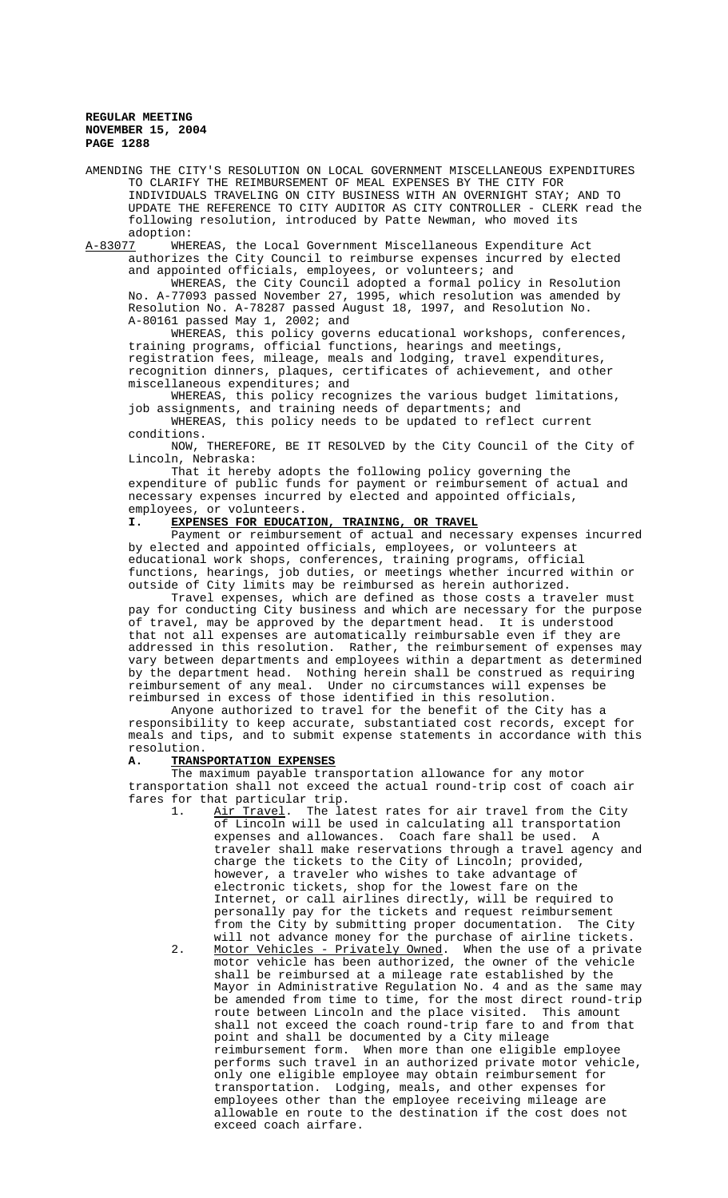AMENDING THE CITY'S RESOLUTION ON LOCAL GOVERNMENT MISCELLANEOUS EXPENDITURES TO CLARIFY THE REIMBURSEMENT OF MEAL EXPENSES BY THE CITY FOR INDIVIDUALS TRAVELING ON CITY BUSINESS WITH AN OVERNIGHT STAY; AND TO UPDATE THE REFERENCE TO CITY AUDITOR AS CITY CONTROLLER - CLERK read the following resolution, introduced by Patte Newman, who moved its

adoption:<br>A-83077 WHE WHEREAS, the Local Government Miscellaneous Expenditure Act authorizes the City Council to reimburse expenses incurred by elected and appointed officials, employees, or volunteers; and

WHEREAS, the City Council adopted a formal policy in Resolution No. A-77093 passed November 27, 1995, which resolution was amended by Resolution No. A-78287 passed August 18, 1997, and Resolution No. A-80161 passed May 1, 2002; and

WHEREAS, this policy governs educational workshops, conferences, training programs, official functions, hearings and meetings, registration fees, mileage, meals and lodging, travel expenditures, recognition dinners, plaques, certificates of achievement, and other miscellaneous expenditures; and

WHEREAS, this policy recognizes the various budget limitations, job assignments, and training needs of departments; and WHEREAS, this policy needs to be updated to reflect current

conditions.

NOW, THEREFORE, BE IT RESOLVED by the City Council of the City of Lincoln, Nebraska:

That it hereby adopts the following policy governing the expenditure of public funds for payment or reimbursement of actual and necessary expenses incurred by elected and appointed officials, employees, or volunteers.

### **I. EXPENSES FOR EDUCATION, TRAINING, OR TRAVEL**

Payment or reimbursement of actual and necessary expenses incurred by elected and appointed officials, employees, or volunteers at educational work shops, conferences, training programs, official functions, hearings, job duties, or meetings whether incurred within or outside of City limits may be reimbursed as herein authorized.

Travel expenses, which are defined as those costs a traveler must pay for conducting City business and which are necessary for the purpose of travel, may be approved by the department head. It is understood that not all expenses are automatically reimbursable even if they are addressed in this resolution. Rather, the reimbursement of expenses may vary between departments and employees within a department as determined by the department head. Nothing herein shall be construed as requiring reimbursement of any meal. Under no circumstances will expenses be reimbursed in excess of those identified in this resolution.

Anyone authorized to travel for the benefit of the City has a responsibility to keep accurate, substantiated cost records, except for meals and tips, and to submit expense statements in accordance with this resolution.

### **A. TRANSPORTATION EXPENSES**

The maximum payable transportation allowance for any motor transportation shall not exceed the actual round-trip cost of coach air fares for that particular trip.

1. Air Travel. The latest rates for air travel from the City of Lincoln will be used in calculating all transportation expenses and allowances. Coach fare shall be used. A traveler shall make reservations through a travel agency and charge the tickets to the City of Lincoln; provided, however, a traveler who wishes to take advantage of electronic tickets, shop for the lowest fare on the Internet, or call airlines directly, will be required to personally pay for the tickets and request reimbursement from the City by submitting proper documentation. The City will not advance money for the purchase of airline tickets.

2. Motor Vehicles - Privately Owned. When the use of a private motor vehicle has been authorized, the owner of the vehicle shall be reimbursed at a mileage rate established by the Mayor in Administrative Regulation No. 4 and as the same may be amended from time to time, for the most direct round-trip route between Lincoln and the place visited. This amount shall not exceed the coach round-trip fare to and from that point and shall be documented by a City mileage reimbursement form. When more than one eligible employee performs such travel in an authorized private motor vehicle, only one eligible employee may obtain reimbursement for transportation. Lodging, meals, and other expenses for employees other than the employee receiving mileage are allowable en route to the destination if the cost does not exceed coach airfare.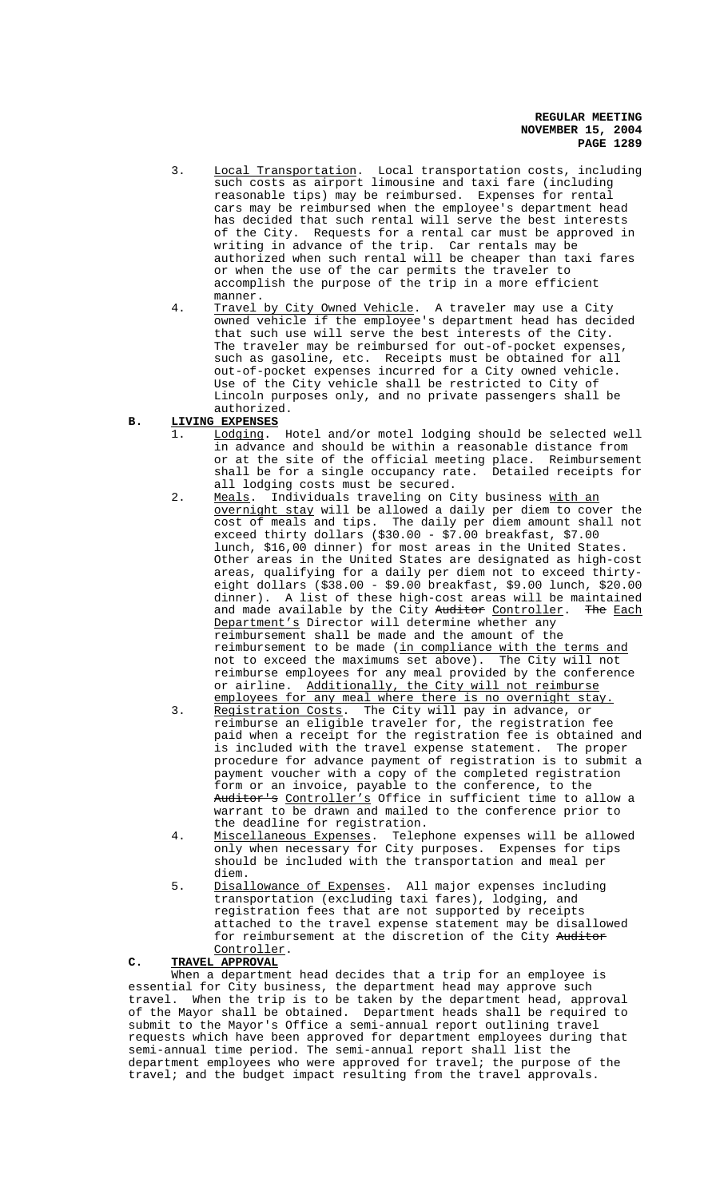- 3. Local Transportation. Local transportation costs, including such costs as airport limousine and taxi fare (including reasonable tips) may be reimbursed. Expenses for rental cars may be reimbursed when the employee's department head has decided that such rental will serve the best interests of the City. Requests for a rental car must be approved in writing in advance of the trip. Car rentals may be authorized when such rental will be cheaper than taxi fares or when the use of the car permits the traveler to accomplish the purpose of the trip in a more efficient manner.
- 4. Travel by City Owned Vehicle. A traveler may use a City owned vehicle if the employee's department head has decided that such use will serve the best interests of the City. The traveler may be reimbursed for out-of-pocket expenses, such as gasoline, etc. Receipts must be obtained for all out-of-pocket expenses incurred for a City owned vehicle. Use of the City vehicle shall be restricted to City of Lincoln purposes only, and no private passengers shall be authorized.

# **B. LIVING EXPENSES**

- 1. Lodging. Hotel and/or motel lodging should be selected well in advance and should be within a reasonable distance from or at the site of the official meeting place. Reimbursement shall be for a single occupancy rate. Detailed receipts for all lodging costs must be secured.
- 2. Meals. Individuals traveling on City business with an overnight stay will be allowed a daily per diem to cover the cost of meals and tips. The daily per diem amount shall not exceed thirty dollars (\$30.00 - \$7.00 breakfast, \$7.00 lunch, \$16,00 dinner) for most areas in the United States. Other areas in the United States are designated as high-cost areas, qualifying for a daily per diem not to exceed thirtyeight dollars (\$38.00 - \$9.00 breakfast, \$9.00 lunch, \$20.00 dinner). A list of these high-cost areas will be maintained and made available by the City Auditor Controller. The Each Department's Director will determine whether any reimbursement shall be made and the amount of the reimbursement to be made (in compliance with the terms and not to exceed the maximums set above). The City will not reimburse employees for any meal provided by the conference or airline. Additionally, the City will not reimburse employees for any meal where there is no overnight stay.<br>Registration Costs. The City will pay in advance, or
- 3. Registration Costs. The City will pay in advance, or reimburse an eligible traveler for, the registration fee paid when a receipt for the registration fee is obtained and is included with the travel expense statement. The proper procedure for advance payment of registration is to submit a payment voucher with a copy of the completed registration form or an invoice, payable to the conference, to the Auditor's Controller's Office in sufficient time to allow a warrant to be drawn and mailed to the conference prior to the deadline for registration.
- 4. Miscellaneous Expenses. Telephone expenses will be allowed only when necessary for City purposes. Expenses for tips should be included with the transportation and meal per diem.
- 5. Disallowance of Expenses. All major expenses including transportation (excluding taxi fares), lodging, and registration fees that are not supported by receipts attached to the travel expense statement may be disallowed for reimbursement at the discretion of the City Auditor Controller.

# **C. TRAVEL APPROVAL**

When a department head decides that a trip for an employee is essential for City business, the department head may approve such travel. When the trip is to be taken by the department head, approval of the Mayor shall be obtained. Department heads shall be required to submit to the Mayor's Office a semi-annual report outlining travel requests which have been approved for department employees during that semi-annual time period. The semi-annual report shall list the department employees who were approved for travel; the purpose of the travel; and the budget impact resulting from the travel approvals.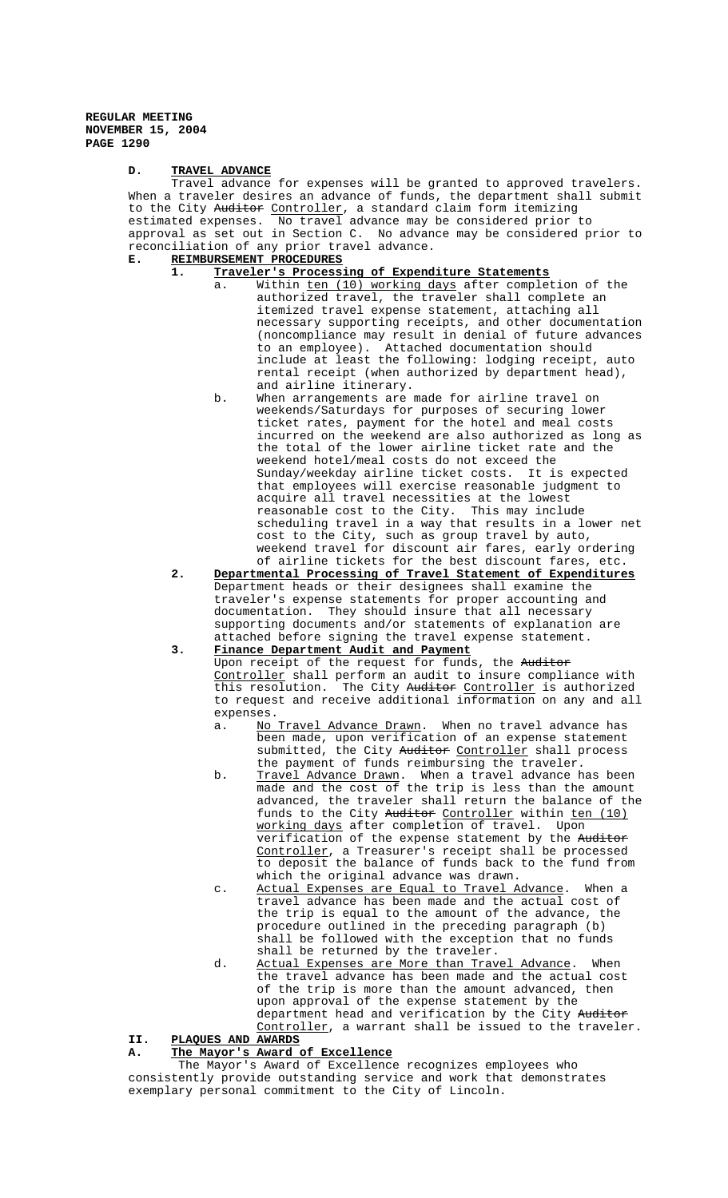### **D. TRAVEL ADVANCE**

Travel advance for expenses will be granted to approved travelers. When a traveler desires an advance of funds, the department shall submit to the City Auditor Controller, a standard claim form itemizing estimated expenses. No travel advance may be considered prior to approval as set out in Section C. No advance may be considered prior to reconciliation of any prior travel advance.

# **E. REIMBURSEMENT PROCEDURES**

- **1. Traveler's Processing of Expenditure Statements**
	- a. Within ten (10) working days after completion of the authorized travel, the traveler shall complete an itemized travel expense statement, attaching all necessary supporting receipts, and other documentation (noncompliance may result in denial of future advances to an employee). Attached documentation should include at least the following: lodging receipt, auto rental receipt (when authorized by department head), and airline itinerary.
	- b. When arrangements are made for airline travel on weekends/Saturdays for purposes of securing lower ticket rates, payment for the hotel and meal costs incurred on the weekend are also authorized as long as the total of the lower airline ticket rate and the weekend hotel/meal costs do not exceed the Sunday/weekday airline ticket costs. It is expected that employees will exercise reasonable judgment to acquire all travel necessities at the lowest reasonable cost to the City. This may include scheduling travel in a way that results in a lower net cost to the City, such as group travel by auto, weekend travel for discount air fares, early ordering of airline tickets for the best discount fares, etc.
- **2. Departmental Processing of Travel Statement of Expenditures** Department heads or their designees shall examine the traveler's expense statements for proper accounting and documentation. They should insure that all necessary supporting documents and/or statements of explanation are attached before signing the travel expense statement.

# **3. Finance Department Audit and Payment**

Upon receipt of the request for funds, the Auditor Controller shall perform an audit to insure compliance with this resolution. The City Auditor Controller is authorized to request and receive additional information on any and all expenses.

- a. No Travel Advance Drawn. When no travel advance has been made, upon verification of an expense statement submitted, the City <del>Auditor</del> Controller shall process the payment of funds reimbursing the traveler.<br>Travel Advance Drawn. When a travel advance has been
- b. <u>Travel Advance Drawn</u>. When a travel advance has been made and the cost of the trip is less than the amount advanced, the traveler shall return the balance of the funds to the City Auditor Controller within ten (10) working days after completion of travel. Upon verification of the expense statement by the Auditor Controller, a Treasurer's receipt shall be processed to deposit the balance of funds back to the fund from which the original advance was drawn.
- c. Actual Expenses are Equal to Travel Advance. When a travel advance has been made and the actual cost of the trip is equal to the amount of the advance, the procedure outlined in the preceding paragraph (b) shall be followed with the exception that no funds shall be returned by the traveler.
- d. Actual Expenses are More than Travel Advance. When the travel advance has been made and the actual cost of the trip is more than the amount advanced, then upon approval of the expense statement by the department head and verification by the City Auditor Controller, a warrant shall be issued to the traveler.

# **II. PLAQUES AND AWARDS**

#### **A. The Mayor's Award of Excellence**

 The Mayor's Award of Excellence recognizes employees who consistently provide outstanding service and work that demonstrates exemplary personal commitment to the City of Lincoln.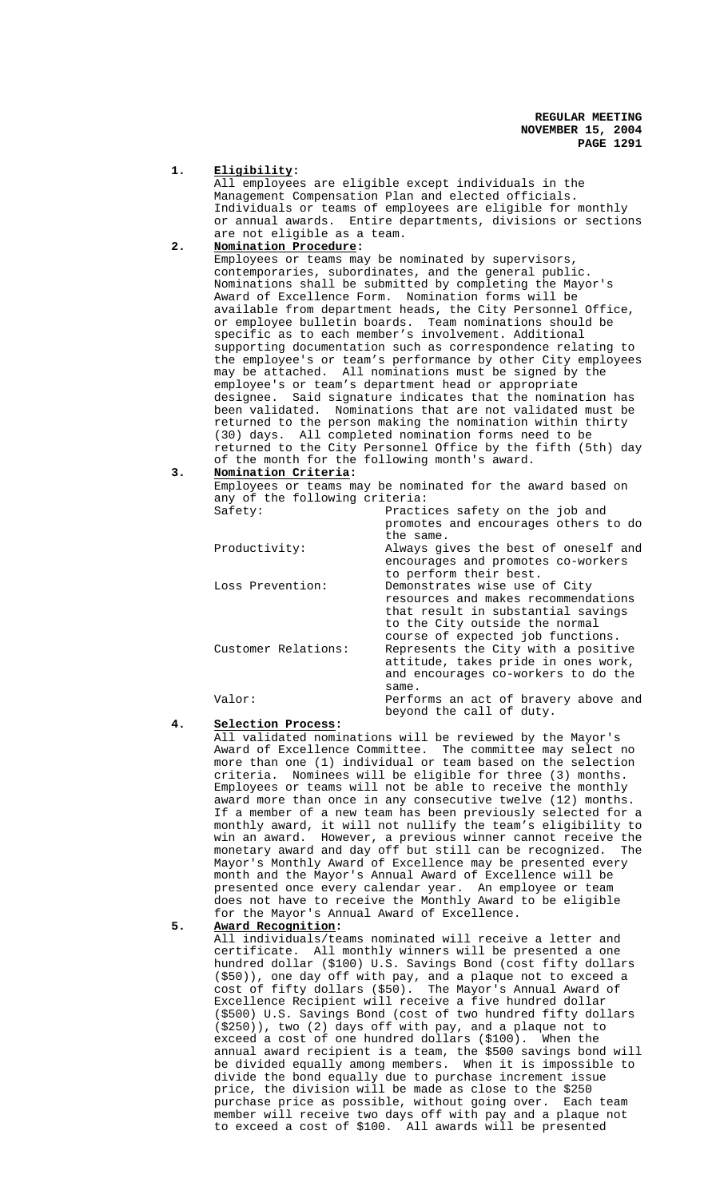#### **1. Eligibility:**

All employees are eligible except individuals in the Management Compensation Plan and elected officials. Individuals or teams of employees are eligible for monthly or annual awards. Entire departments, divisions or sections are not eligible as a team.

# **2. Nomination Procedure:**

Employees or teams may be nominated by supervisors, contemporaries, subordinates, and the general public. Nominations shall be submitted by completing the Mayor's Award of Excellence Form. Nomination forms will be available from department heads, the City Personnel Office, or employee bulletin boards. Team nominations should be specific as to each member's involvement. Additional supporting documentation such as correspondence relating to the employee's or team's performance by other City employees may be attached. All nominations must be signed by the employee's or team's department head or appropriate designee. Said signature indicates that the nomination has been validated. Nominations that are not validated must be returned to the person making the nomination within thirty (30) days. All completed nomination forms need to be returned to the City Personnel Office by the fifth (5th) day of the month for the following month's award.

# **3. Nomination Criteria:**

Employees or teams may be nominated for the award based on any of the following criteria:

| Safety:             | Practices safety on the job and<br>promotes and encourages others to do<br>the same.                                                                                              |
|---------------------|-----------------------------------------------------------------------------------------------------------------------------------------------------------------------------------|
| Productivity:       | Always gives the best of oneself and<br>encourages and promotes co-workers<br>to perform their best.                                                                              |
| Loss Prevention:    | Demonstrates wise use of City<br>resources and makes recommendations<br>that result in substantial savings<br>to the City outside the normal<br>course of expected job functions. |
| Customer Relations: | Represents the City with a positive<br>attitude, takes pride in ones work,<br>and encourages co-workers to do the<br>same.                                                        |
| Valor:              | Performs an act of bravery above and<br>beyond the call of duty.                                                                                                                  |

# **4. Selection Process:**

All validated nominations will be reviewed by the Mayor's Award of Excellence Committee. The committee may select no more than one (1) individual or team based on the selection criteria. Nominees will be eligible for three (3) months. Employees or teams will not be able to receive the monthly award more than once in any consecutive twelve (12) months. If a member of a new team has been previously selected for a monthly award, it will not nullify the team's eligibility to win an award. However, a previous winner cannot receive the monetary award and day off but still can be recognized. The Mayor's Monthly Award of Excellence may be presented every month and the Mayor's Annual Award of Excellence will be presented once every calendar year. An employee or team does not have to receive the Monthly Award to be eligible for the Mayor's Annual Award of Excellence.

### **5. Award Recognition:**

All individuals/teams nominated will receive a letter and certificate. All monthly winners will be presented a one hundred dollar (\$100) U.S. Savings Bond (cost fifty dollars (\$50)), one day off with pay, and a plaque not to exceed a cost of fifty dollars (\$50). The Mayor's Annual Award of Excellence Recipient will receive a five hundred dollar (\$500) U.S. Savings Bond (cost of two hundred fifty dollars (\$250)), two (2) days off with pay, and a plaque not to exceed a cost of one hundred dollars (\$100). When the annual award recipient is a team, the \$500 savings bond will be divided equally among members. When it is impossible to divide the bond equally due to purchase increment issue price, the division will be made as close to the \$250 purchase price as possible, without going over. Each team member will receive two days off with pay and a plaque not to exceed a cost of \$100. All awards will be presented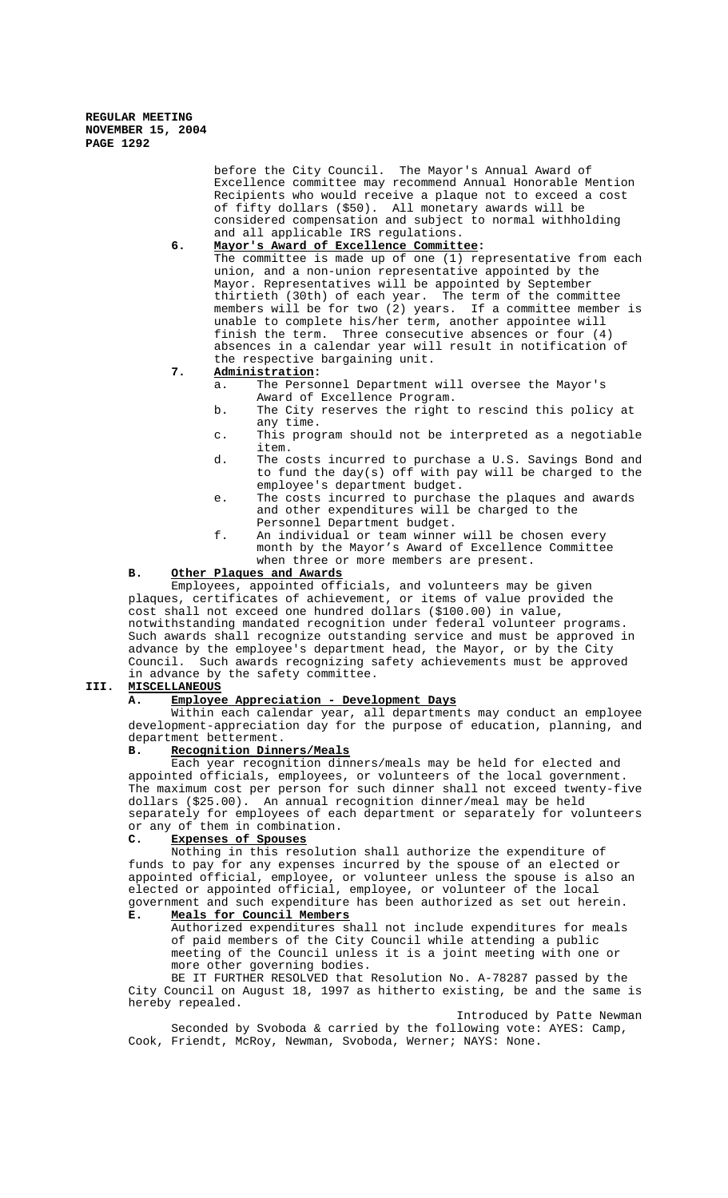> before the City Council. The Mayor's Annual Award of Excellence committee may recommend Annual Honorable Mention Recipients who would receive a plaque not to exceed a cost of fifty dollars (\$50). All monetary awards will be considered compensation and subject to normal withholding and all applicable IRS regulations.

## **6. Mayor's Award of Excellence Committee:**

The committee is made up of one (1) representative from each union, and a non-union representative appointed by the Mayor. Representatives will be appointed by September thirtieth (30th) of each year. The term of the committee members will be for two (2) years. If a committee member is unable to complete his/her term, another appointee will finish the term. Three consecutive absences or four (4) absences in a calendar year will result in notification of the respective bargaining unit.

# **7. Administration:**

- a. The Personnel Department will oversee the Mayor's Award of Excellence Program.
- b. The City reserves the right to rescind this policy at any time.
- c. This program should not be interpreted as a negotiable item.
- d. The costs incurred to purchase a U.S. Savings Bond and to fund the day(s) off with pay will be charged to the employee's department budget.
- e. The costs incurred to purchase the plaques and awards and other expenditures will be charged to the Personnel Department budget.
- f. An individual or team winner will be chosen every month by the Mayor's Award of Excellence Committee when three or more members are present.

### **B. Other Plaques and Awards**

Employees, appointed officials, and volunteers may be given plaques, certificates of achievement, or items of value provided the cost shall not exceed one hundred dollars (\$100.00) in value, notwithstanding mandated recognition under federal volunteer programs. Such awards shall recognize outstanding service and must be approved in advance by the employee's department head, the Mayor, or by the City Council. Such awards recognizing safety achievements must be approved in advance by the safety committee.

### **III. MISCELLANEOUS**

# **A. Employee Appreciation - Development Days**

Within each calendar year, all departments may conduct an employee development-appreciation day for the purpose of education, planning, and department betterment.

## **B. Recognition Dinners/Meals**

Each year recognition dinners/meals may be held for elected and appointed officials, employees, or volunteers of the local government. The maximum cost per person for such dinner shall not exceed twenty-five dollars (\$25.00). An annual recognition dinner/meal may be held separately for employees of each department or separately for volunteers or any of them in combination.

#### **C. Expenses of Spouses**

Nothing in this resolution shall authorize the expenditure of funds to pay for any expenses incurred by the spouse of an elected or appointed official, employee, or volunteer unless the spouse is also an elected or appointed official, employee, or volunteer of the local government and such expenditure has been authorized as set out herein.

# **E. Meals for Council Members**

Authorized expenditures shall not include expenditures for meals of paid members of the City Council while attending a public meeting of the Council unless it is a joint meeting with one or more other governing bodies.

BE IT FURTHER RESOLVED that Resolution No. A-78287 passed by the City Council on August 18, 1997 as hitherto existing, be and the same is hereby repealed.

Introduced by Patte Newman Seconded by Svoboda & carried by the following vote: AYES: Camp, Cook, Friendt, McRoy, Newman, Svoboda, Werner; NAYS: None.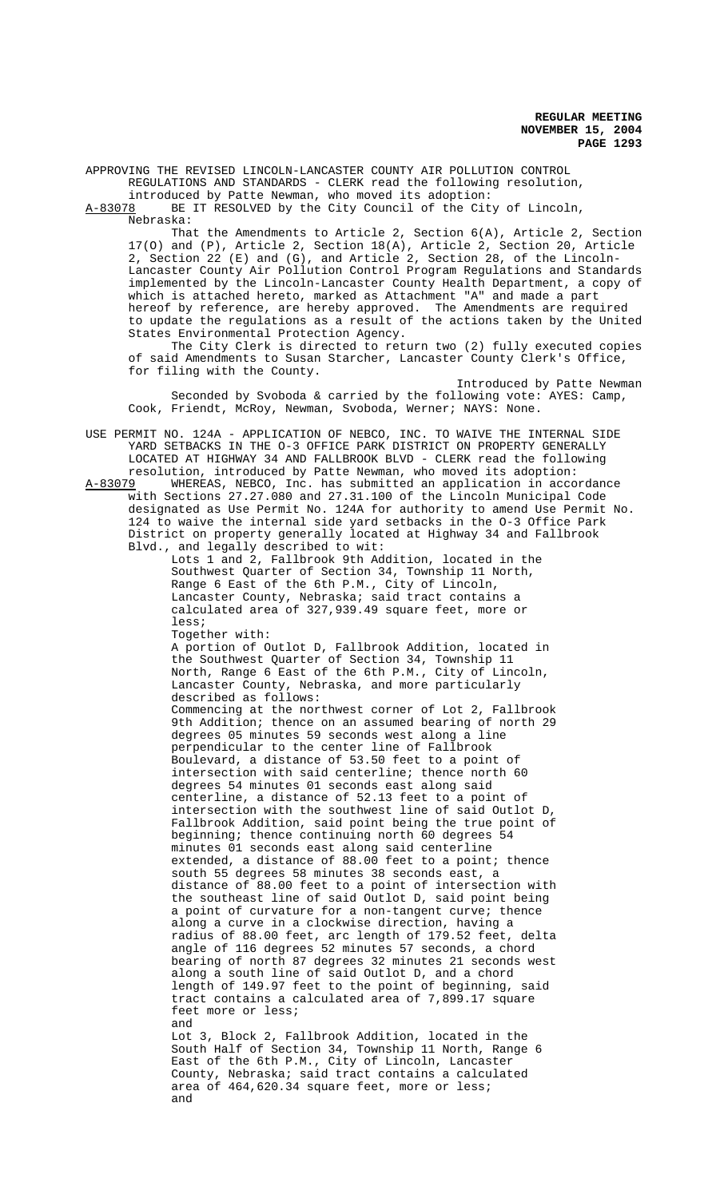APPROVING THE REVISED LINCOLN-LANCASTER COUNTY AIR POLLUTION CONTROL REGULATIONS AND STANDARDS - CLERK read the following resolution,

introduced by Patte Newman, who moved its adoption:<br>A-83078 BE IT RESOLVED by the City Council of the City BE IT RESOLVED by the City Council of the City of Lincoln,

Nebraska:

That the Amendments to Article 2, Section 6(A), Article 2, Section 17(O) and (P), Article 2, Section 18(A), Article 2, Section 20, Article 2, Section 22 (E) and (G), and Article 2, Section 28, of the Lincoln-Lancaster County Air Pollution Control Program Regulations and Standards implemented by the Lincoln-Lancaster County Health Department, a copy of which is attached hereto, marked as Attachment "A" and made a part hereof by reference, are hereby approved. The Amendments are required to update the regulations as a result of the actions taken by the United States Environmental Protection Agency.

The City Clerk is directed to return two (2) fully executed copies of said Amendments to Susan Starcher, Lancaster County Clerk's Office, for filing with the County.

Introduced by Patte Newman Seconded by Svoboda & carried by the following vote: AYES: Camp, Cook, Friendt, McRoy, Newman, Svoboda, Werner; NAYS: None.

USE PERMIT NO. 124A - APPLICATION OF NEBCO, INC. TO WAIVE THE INTERNAL SIDE YARD SETBACKS IN THE O-3 OFFICE PARK DISTRICT ON PROPERTY GENERALLY LOCATED AT HIGHWAY 34 AND FALLBROOK BLVD - CLERK read the following

resolution, introduced by Patte Newman, who moved its adoption:<br>A-83079 WHEREAS, NEBCO, Inc. has submitted an application in acco WHEREAS, NEBCO, Inc. has submitted an application in accordance with Sections 27.27.080 and 27.31.100 of the Lincoln Municipal Code designated as Use Permit No. 124A for authority to amend Use Permit No. 124 to waive the internal side yard setbacks in the O-3 Office Park District on property generally located at Highway 34 and Fallbrook Blvd., and legally described to wit:

Lots 1 and 2, Fallbrook 9th Addition, located in the Southwest Quarter of Section 34, Township 11 North, Range 6 East of the 6th P.M., City of Lincoln, Lancaster County, Nebraska; said tract contains a calculated area of 327,939.49 square feet, more or less;

Together with:

A portion of Outlot D, Fallbrook Addition, located in the Southwest Quarter of Section 34, Township 11 North, Range 6 East of the 6th P.M., City of Lincoln, Lancaster County, Nebraska, and more particularly described as follows: Commencing at the northwest corner of Lot 2, Fallbrook 9th Addition; thence on an assumed bearing of north 29 degrees 05 minutes 59 seconds west along a line perpendicular to the center line of Fallbrook Boulevard, a distance of 53.50 feet to a point of intersection with said centerline; thence north 60 degrees 54 minutes 01 seconds east along said centerline, a distance of 52.13 feet to a point of intersection with the southwest line of said Outlot D, Fallbrook Addition, said point being the true point of beginning; thence continuing north 60 degrees 54 minutes 01 seconds east along said centerline extended, a distance of 88.00 feet to a point; thence south 55 degrees 58 minutes 38 seconds east, a distance of 88.00 feet to a point of intersection with the southeast line of said Outlot D, said point being a point of curvature for a non-tangent curve; thence along a curve in a clockwise direction, having a radius of 88.00 feet, arc length of 179.52 feet, delta angle of 116 degrees 52 minutes 57 seconds, a chord bearing of north 87 degrees 32 minutes 21 seconds west along a south line of said Outlot D, and a chord length of 149.97 feet to the point of beginning, said tract contains a calculated area of 7,899.17 square feet more or less; and Lot 3, Block 2, Fallbrook Addition, located in the

South Half of Section 34, Township 11 North, Range 6 East of the 6th P.M., City of Lincoln, Lancaster County, Nebraska; said tract contains a calculated area of 464,620.34 square feet, more or less; and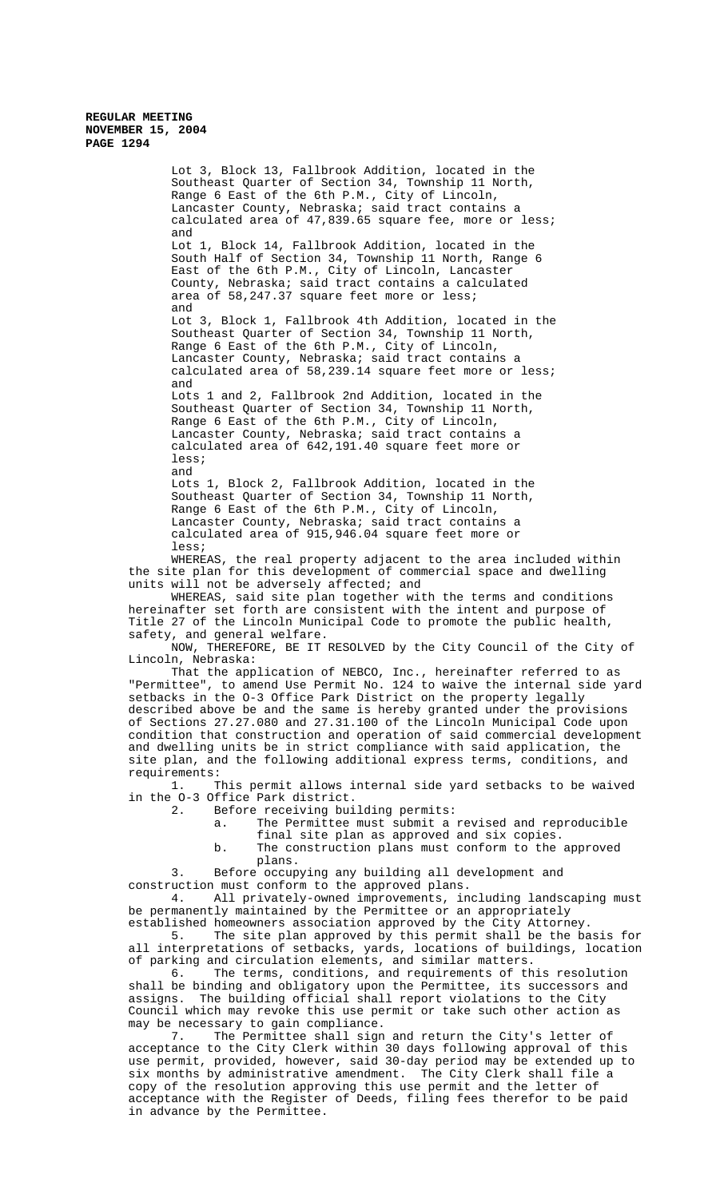Southeast Quarter of Section 34, Township 11 North, Range 6 East of the 6th P.M., City of Lincoln, Lancaster County, Nebraska; said tract contains a calculated area of 47,839.65 square fee, more or less; and Lot 1, Block 14, Fallbrook Addition, located in the South Half of Section 34, Township 11 North, Range 6 East of the 6th P.M., City of Lincoln, Lancaster County, Nebraska; said tract contains a calculated area of 58,247.37 square feet more or less; and Lot 3, Block 1, Fallbrook 4th Addition, located in the Southeast Quarter of Section 34, Township 11 North, Range 6 East of the 6th P.M., City of Lincoln, Lancaster County, Nebraska; said tract contains a calculated area of 58,239.14 square feet more or less; and Lots 1 and 2, Fallbrook 2nd Addition, located in the Southeast Quarter of Section 34, Township 11 North, Range 6 East of the 6th P.M., City of Lincoln, Lancaster County, Nebraska; said tract contains a calculated area of 642,191.40 square feet more or less; and Lots 1, Block 2, Fallbrook Addition, located in the Southeast Quarter of Section 34, Township 11 North, Range 6 East of the 6th P.M., City of Lincoln, Lancaster County, Nebraska; said tract contains a calculated area of 915,946.04 square feet more or less; WHEREAS, the real property adjacent to the area included within

Lot 3, Block 13, Fallbrook Addition, located in the

the site plan for this development of commercial space and dwelling units will not be adversely affected; and

WHEREAS, said site plan together with the terms and conditions hereinafter set forth are consistent with the intent and purpose of Title 27 of the Lincoln Municipal Code to promote the public health, safety, and general welfare.

NOW, THEREFORE, BE IT RESOLVED by the City Council of the City of Lincoln, Nebraska:

That the application of NEBCO, Inc., hereinafter referred to as "Permittee", to amend Use Permit No. 124 to waive the internal side yard setbacks in the O-3 Office Park District on the property legally described above be and the same is hereby granted under the provisions of Sections 27.27.080 and 27.31.100 of the Lincoln Municipal Code upon condition that construction and operation of said commercial development and dwelling units be in strict compliance with said application, the site plan, and the following additional express terms, conditions, and

requirements:<br>1. T This permit allows internal side yard setbacks to be waived in the O-3 Office Park district.

Before receiving building permits:<br>a. The Permittee must submit a

- The Permittee must submit a revised and reproducible
	- final site plan as approved and six copies.
- b. The construction plans must conform to the approved plans.

3. Before occupying any building all development and construction must conform to the approved plans.

4. All privately-owned improvements, including landscaping must be permanently maintained by the Permittee or an appropriately established homeowners association approved by the City Attorney.

5. The site plan approved by this permit shall be the basis for all interpretations of setbacks, yards, locations of buildings, location of parking and circulation elements, and similar matters.

6. The terms, conditions, and requirements of this resolution shall be binding and obligatory upon the Permittee, its successors and assigns. The building official shall report violations to the City Council which may revoke this use permit or take such other action as may be necessary to gain compliance.

7. The Permittee shall sign and return the City's letter of acceptance to the City Clerk within 30 days following approval of this use permit, provided, however, said 30-day period may be extended up to six months by administrative amendment. The City Clerk shall file a copy of the resolution approving this use permit and the letter of acceptance with the Register of Deeds, filing fees therefor to be paid in advance by the Permittee.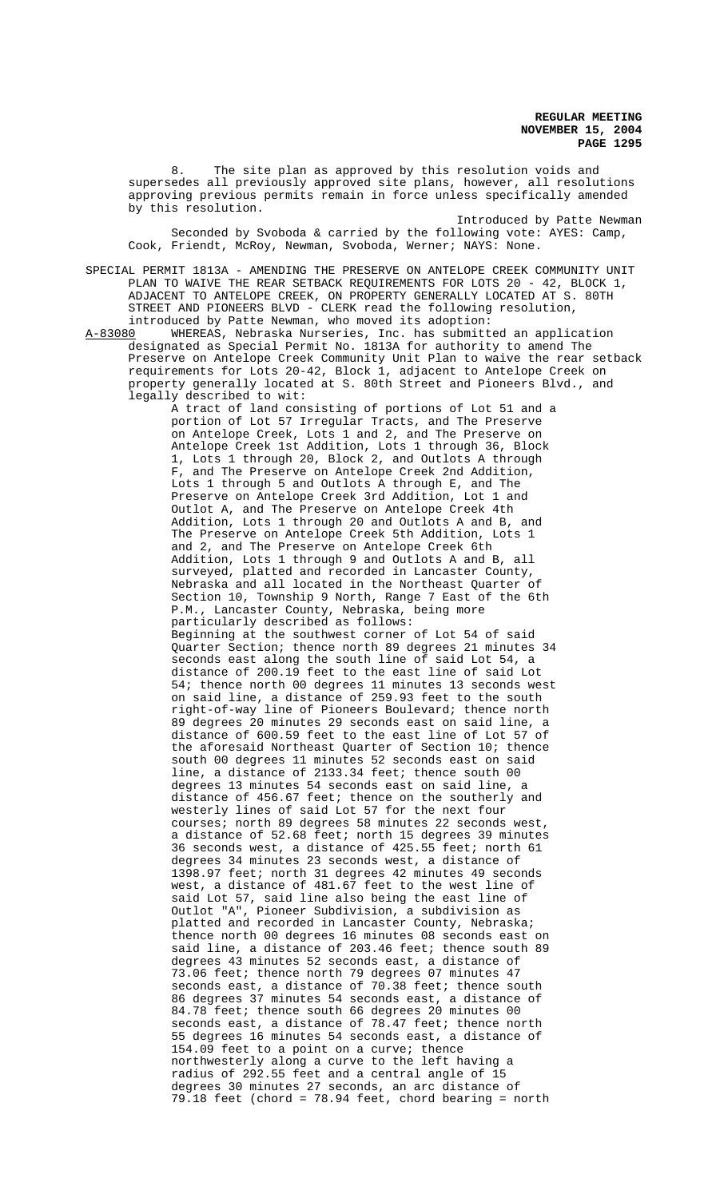8. The site plan as approved by this resolution voids and supersedes all previously approved site plans, however, all resolutions approving previous permits remain in force unless specifically amended by this resolution.

Introduced by Patte Newman Seconded by Svoboda & carried by the following vote: AYES: Camp, Cook, Friendt, McRoy, Newman, Svoboda, Werner; NAYS: None.

SPECIAL PERMIT 1813A - AMENDING THE PRESERVE ON ANTELOPE CREEK COMMUNITY UNIT PLAN TO WAIVE THE REAR SETBACK REQUIREMENTS FOR LOTS 20 - 42, BLOCK 1, ADJACENT TO ANTELOPE CREEK, ON PROPERTY GENERALLY LOCATED AT S. 80TH STREET AND PIONEERS BLVD - CLERK read the following resolution,

introduced by Patte Newman, who moved its adoption:<br>A-83080 WHEREAS, Nebraska Nurseries, Inc. has submitt WHEREAS, Nebraska Nurseries, Inc. has submitted an application designated as Special Permit No. 1813A for authority to amend The Preserve on Antelope Creek Community Unit Plan to waive the rear setback requirements for Lots 20-42, Block 1, adjacent to Antelope Creek on property generally located at S. 80th Street and Pioneers Blvd., and legally described to wit:

> A tract of land consisting of portions of Lot 51 and a portion of Lot 57 Irregular Tracts, and The Preserve on Antelope Creek, Lots 1 and 2, and The Preserve on Antelope Creek 1st Addition, Lots 1 through 36, Block 1, Lots 1 through 20, Block 2, and Outlots A through F, and The Preserve on Antelope Creek 2nd Addition, Lots 1 through 5 and Outlots A through E, and The Preserve on Antelope Creek 3rd Addition, Lot 1 and Outlot A, and The Preserve on Antelope Creek 4th Addition, Lots 1 through 20 and Outlots A and B, and The Preserve on Antelope Creek 5th Addition, Lots 1 and 2, and The Preserve on Antelope Creek 6th Addition, Lots 1 through 9 and Outlots A and B, all surveyed, platted and recorded in Lancaster County, Nebraska and all located in the Northeast Quarter of Section 10, Township 9 North, Range 7 East of the 6th P.M., Lancaster County, Nebraska, being more particularly described as follows: Beginning at the southwest corner of Lot 54 of said Quarter Section; thence north 89 degrees 21 minutes 34 seconds east along the south line of said Lot 54, a distance of 200.19 feet to the east line of said Lot 54; thence north 00 degrees 11 minutes 13 seconds west on said line, a distance of 259.93 feet to the south right-of-way line of Pioneers Boulevard; thence north 89 degrees 20 minutes 29 seconds east on said line, a distance of 600.59 feet to the east line of Lot 57 of the aforesaid Northeast Quarter of Section 10; thence south 00 degrees 11 minutes 52 seconds east on said line, a distance of 2133.34 feet; thence south 00 degrees 13 minutes 54 seconds east on said line, a distance of 456.67 feet; thence on the southerly and westerly lines of said Lot 57 for the next four courses; north 89 degrees 58 minutes 22 seconds west, a distance of  $52.68$  feet; north 15 degrees 39 minutes 36 seconds west, a distance of 425.55 feet; north 61 degrees 34 minutes 23 seconds west, a distance of 1398.97 feet; north 31 degrees 42 minutes 49 seconds west, a distance of 481.67 feet to the west line of said Lot 57, said line also being the east line of Outlot "A", Pioneer Subdivision, a subdivision as platted and recorded in Lancaster County, Nebraska; thence north 00 degrees 16 minutes 08 seconds east on said line, a distance of 203.46 feet; thence south 89 degrees 43 minutes 52 seconds east, a distance of 73.06 feet; thence north 79 degrees 07 minutes 47 seconds east, a distance of  $70.38$  feet; thence south 86 degrees 37 minutes 54 seconds east, a distance of 84.78 feet; thence south 66 degrees 20 minutes 00 seconds east, a distance of 78.47 feet; thence north 55 degrees 16 minutes 54 seconds east, a distance of 154.09 feet to a point on a curve; thence northwesterly along a curve to the left having a radius of 292.55 feet and a central angle of 15 degrees 30 minutes 27 seconds, an arc distance of 79.18 feet (chord = 78.94 feet, chord bearing = north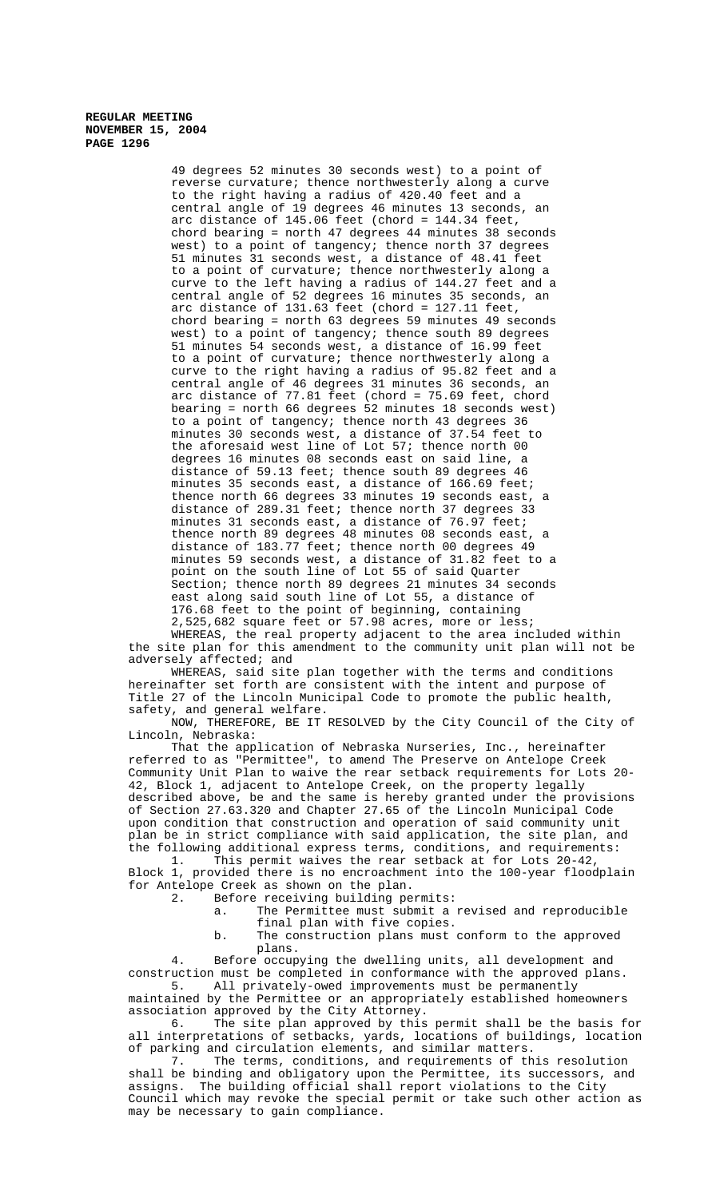49 degrees 52 minutes 30 seconds west) to a point of reverse curvature; thence northwesterly along a curve to the right having a radius of 420.40 feet and a central angle of 19 degrees 46 minutes 13 seconds, an arc distance of 145.06 feet (chord = 144.34 feet, chord bearing = north 47 degrees 44 minutes 38 seconds west) to a point of tangency; thence north 37 degrees 51 minutes 31 seconds west, a distance of 48.41 feet to a point of curvature; thence northwesterly along a curve to the left having a radius of 144.27 feet and a central angle of 52 degrees 16 minutes 35 seconds, an arc distance of  $131.63$  feet (chord = 127.11 feet, chord bearing = north 63 degrees 59 minutes 49 seconds west) to a point of tangency; thence south 89 degrees 51 minutes 54 seconds west, a distance of 16.99 feet to a point of curvature; thence northwesterly along a curve to the right having a radius of 95.82 feet and a central angle of 46 degrees 31 minutes 36 seconds, an arc distance of 77.81 feet (chord = 75.69 feet, chord bearing = north 66 degrees 52 minutes 18 seconds west) to a point of tangency; thence north 43 degrees 36 minutes 30 seconds west, a distance of 37.54 feet to the aforesaid west line of Lot 57; thence north 00 degrees 16 minutes 08 seconds east on said line, a distance of 59.13 feet; thence south 89 degrees 46 minutes 35 seconds east, a distance of 166.69 feet; thence north 66 degrees 33 minutes 19 seconds east, a distance of 289.31 feet; thence north 37 degrees 33 minutes 31 seconds east, a distance of 76.97 feet; thence north 89 degrees 48 minutes 08 seconds east, a distance of 183.77 feet; thence north 00 degrees 49 minutes 59 seconds west, a distance of 31.82 feet to a point on the south line of Lot 55 of said Quarter Section; thence north 89 degrees 21 minutes 34 seconds east along said south line of Lot 55, a distance of 176.68 feet to the point of beginning, containing 2,525,682 square feet or 57.98 acres, more or less;

WHEREAS, the real property adjacent to the area included within the site plan for this amendment to the community unit plan will not be adversely affected; and

WHEREAS, said site plan together with the terms and conditions hereinafter set forth are consistent with the intent and purpose of Title 27 of the Lincoln Municipal Code to promote the public health, safety, and general welfare.

NOW, THEREFORE, BE IT RESOLVED by the City Council of the City of Lincoln, Nebraska:

That the application of Nebraska Nurseries, Inc., hereinafter referred to as "Permittee", to amend The Preserve on Antelope Creek Community Unit Plan to waive the rear setback requirements for Lots 20- 42, Block 1, adjacent to Antelope Creek, on the property legally described above, be and the same is hereby granted under the provisions of Section 27.63.320 and Chapter 27.65 of the Lincoln Municipal Code upon condition that construction and operation of said community unit plan be in strict compliance with said application, the site plan, and the following additional express terms, conditions, and requirements:

1. This permit waives the rear setback at for Lots 20-42, Block 1, provided there is no encroachment into the 100-year floodplain for Antelope Creek as shown on the plan.

Before receiving building permits:

a. The Permittee must submit a revised and reproducible final plan with five copies.

b. The construction plans must conform to the approved plans.

4. Before occupying the dwelling units, all development and construction must be completed in conformance with the approved plans.<br>5. All privately-owed improvements must be permanently All privately-owed improvements must be permanently

maintained by the Permittee or an appropriately established homeowners association approved by the City Attorney.

6. The site plan approved by this permit shall be the basis for all interpretations of setbacks, yards, locations of buildings, location of parking and circulation elements, and similar matters.

7. The terms, conditions, and requirements of this resolution shall be binding and obligatory upon the Permittee, its successors, and assigns. The building official shall report violations to the City Council which may revoke the special permit or take such other action as may be necessary to gain compliance.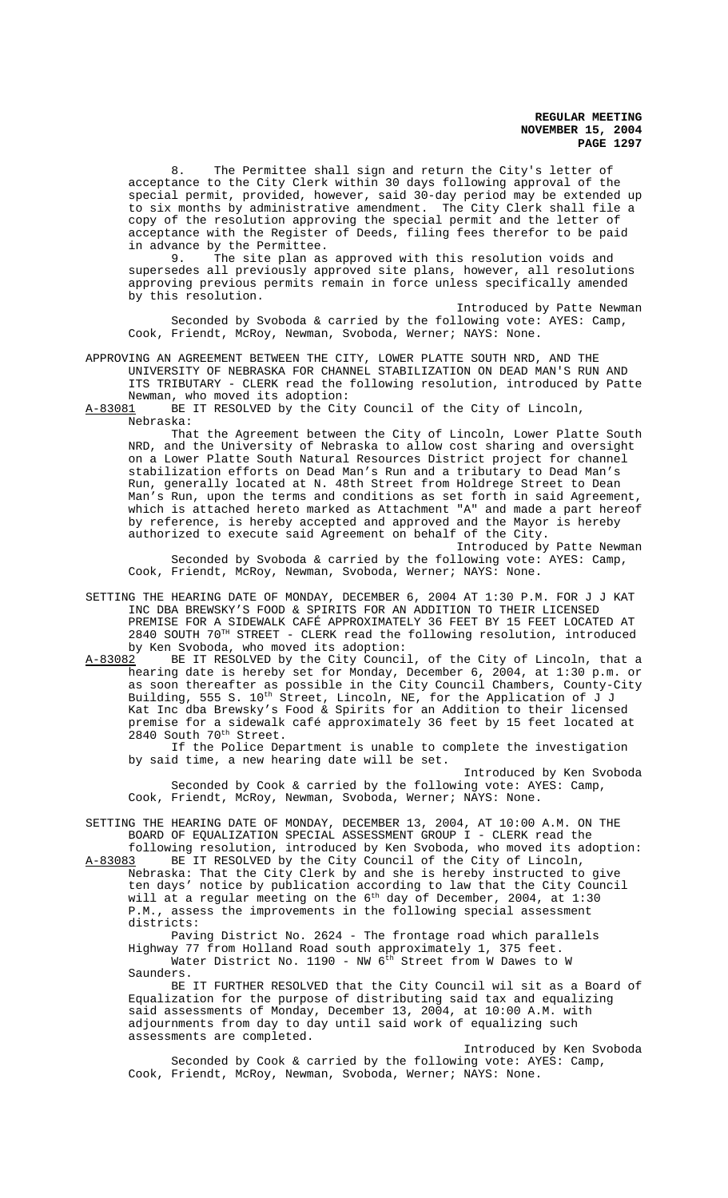8. The Permittee shall sign and return the City's letter of acceptance to the City Clerk within 30 days following approval of the special permit, provided, however, said 30-day period may be extended up to six months by administrative amendment. The City Clerk shall file a copy of the resolution approving the special permit and the letter of acceptance with the Register of Deeds, filing fees therefor to be paid in advance by the Permittee.<br>9. The site plan as

The site plan as approved with this resolution voids and supersedes all previously approved site plans, however, all resolutions approving previous permits remain in force unless specifically amended by this resolution.

Introduced by Patte Newman Seconded by Svoboda & carried by the following vote: AYES: Camp, Cook, Friendt, McRoy, Newman, Svoboda, Werner; NAYS: None.

APPROVING AN AGREEMENT BETWEEN THE CITY, LOWER PLATTE SOUTH NRD, AND THE UNIVERSITY OF NEBRASKA FOR CHANNEL STABILIZATION ON DEAD MAN'S RUN AND ITS TRIBUTARY - CLERK read the following resolution, introduced by Patte Newman, who moved its adoption:<br>A-83081 BE IT RESOLVED by the Cit

BE IT RESOLVED by the City Council of the City of Lincoln, Nebraska:

That the Agreement between the City of Lincoln, Lower Platte South NRD, and the University of Nebraska to allow cost sharing and oversight on a Lower Platte South Natural Resources District project for channel stabilization efforts on Dead Man's Run and a tributary to Dead Man's Run, generally located at N. 48th Street from Holdrege Street to Dean Man's Run, upon the terms and conditions as set forth in said Agreement, which is attached hereto marked as Attachment "A" and made a part hereof by reference, is hereby accepted and approved and the Mayor is hereby authorized to execute said Agreement on behalf of the City.

Introduced by Patte Newman Seconded by Svoboda & carried by the following vote: AYES: Camp, Cook, Friendt, McRoy, Newman, Svoboda, Werner; NAYS: None.

SETTING THE HEARING DATE OF MONDAY, DECEMBER 6, 2004 AT 1:30 P.M. FOR J J KAT INC DBA BREWSKY'S FOOD & SPIRITS FOR AN ADDITION TO THEIR LICENSED PREMISE FOR A SIDEWALK CAFÉ APPROXIMATELY 36 FEET BY 15 FEET LOCATED AT 2840 SOUTH 70TH STREET - CLERK read the following resolution, introduced by Ken Svoboda, who moved its adoption:<br>A-83082 BE IT RESOLVED by the City Counci

BE IT RESOLVED by the City Council, of the City of Lincoln, that a hearing date is hereby set for Monday, December 6, 2004, at 1:30 p.m. or as soon thereafter as possible in the City Council Chambers, County-City Building, 555 S. 10<sup>th</sup> Street, Lincoln, NE, for the Application of J J Kat Inc dba Brewsky's Food & Spirits for an Addition to their licensed premise for a sidewalk café approximately 36 feet by 15 feet located at 2840 South 70<sup>th</sup> Street.

If the Police Department is unable to complete the investigation by said time, a new hearing date will be set.

Introduced by Ken Svoboda Seconded by Cook & carried by the following vote: AYES: Camp, Cook, Friendt, McRoy, Newman, Svoboda, Werner; NAYS: None.

SETTING THE HEARING DATE OF MONDAY, DECEMBER 13, 2004, AT 10:00 A.M. ON THE BOARD OF EQUALIZATION SPECIAL ASSESSMENT GROUP I - CLERK read the

following resolution, introduced by Ken Svoboda, who moved its adoption: A-83083 BE IT RESOLVED by the City Council of the City of Lincoln, Nebraska: That the City Clerk by and she is hereby instructed to give ten days' notice by publication according to law that the City Council will at a regular meeting on the  $6<sup>th</sup>$  day of December, 2004, at 1:30 P.M., assess the improvements in the following special assessment districts:

Paving District No. 2624 - The frontage road which parallels Highway 77 from Holland Road south approximately 1, 375 feet. Water District No. 1190 - NW 6<sup>th</sup> Street from W Dawes to W Saunders.

BE IT FURTHER RESOLVED that the City Council wil sit as a Board of Equalization for the purpose of distributing said tax and equalizing said assessments of Monday, December 13, 2004, at 10:00 A.M. with adjournments from day to day until said work of equalizing such assessments are completed.

Introduced by Ken Svoboda Seconded by Cook & carried by the following vote: AYES: Camp, Cook, Friendt, McRoy, Newman, Svoboda, Werner; NAYS: None.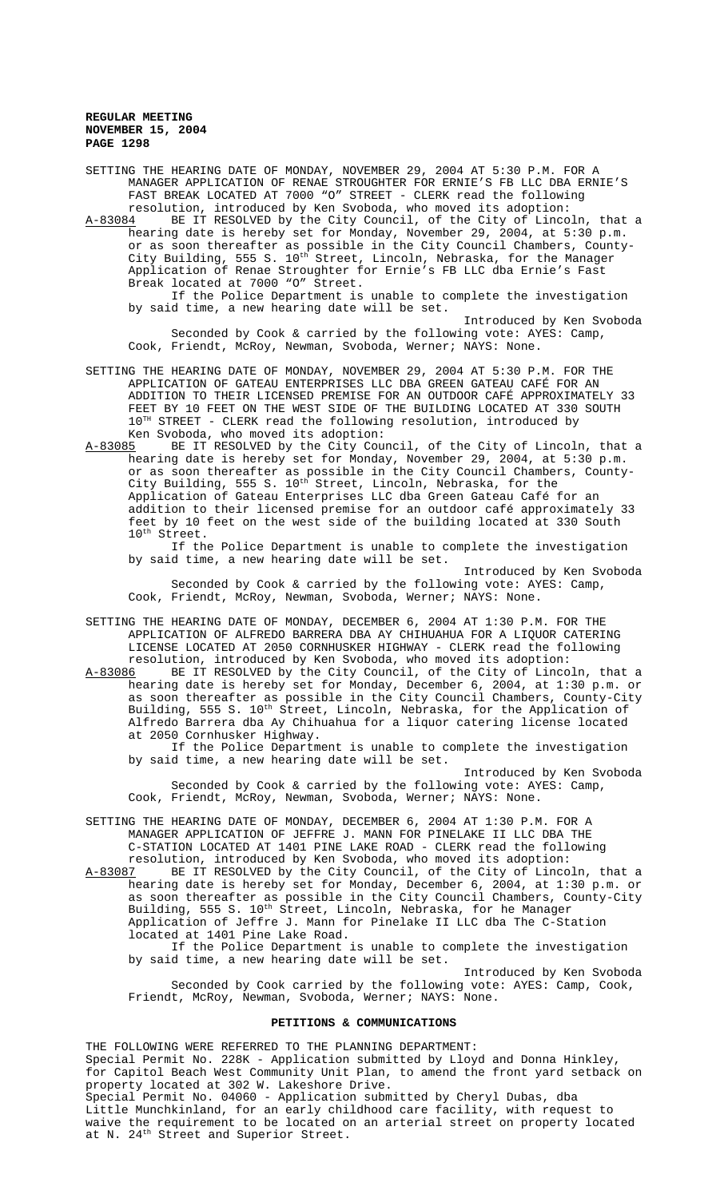SETTING THE HEARING DATE OF MONDAY, NOVEMBER 29, 2004 AT 5:30 P.M. FOR A MANAGER APPLICATION OF RENAE STROUGHTER FOR ERNIE'S FB LLC DBA ERNIE'S FAST BREAK LOCATED AT 7000 "O" STREET - CLERK read the following resolution, introduced by Ken Svoboda, who moved its adoption:

A-83084 BE IT RESOLVED by the City Council, of the City of Lincoln, that a hearing date is hereby set for Monday, November 29, 2004, at 5:30 p.m. or as soon thereafter as possible in the City Council Chambers, County-City Building, 555 S. 10<sup>th</sup> Street, Lincoln, Nebraska, for the Manager Application of Renae Stroughter for Ernie's FB LLC dba Ernie's Fast Break located at 7000 "O" Street.

If the Police Department is unable to complete the investigation by said time, a new hearing date will be set.

Introduced by Ken Svoboda Seconded by Cook & carried by the following vote: AYES: Camp, Cook, Friendt, McRoy, Newman, Svoboda, Werner; NAYS: None.

SETTING THE HEARING DATE OF MONDAY, NOVEMBER 29, 2004 AT 5:30 P.M. FOR THE APPLICATION OF GATEAU ENTERPRISES LLC DBA GREEN GATEAU CAFÉ FOR AN ADDITION TO THEIR LICENSED PREMISE FOR AN OUTDOOR CAFÉ APPROXIMATELY 33 FEET BY 10 FEET ON THE WEST SIDE OF THE BUILDING LOCATED AT 330 SOUTH  $10^{TH}$  STREET - CLERK read the following resolution, introduced by Ken Svoboda, who moved its adoption:<br>A-83085 BE IT RESOLVED by the City Cour

BE IT RESOLVED by the City Council, of the City of Lincoln, that a hearing date is hereby set for Monday, November 29, 2004, at 5:30 p.m. or as soon thereafter as possible in the City Council Chambers, County-City Building, 555 S. 10<sup>th</sup> Street, Lincoln, Nebraska, for the Application of Gateau Enterprises LLC dba Green Gateau Café for an addition to their licensed premise for an outdoor café approximately 33 feet by 10 feet on the west side of the building located at 330 South 10<sup>th</sup> Street.

If the Police Department is unable to complete the investigation by said time, a new hearing date will be set.

Introduced by Ken Svoboda Seconded by Cook & carried by the following vote: AYES: Camp, Cook, Friendt, McRoy, Newman, Svoboda, Werner; NAYS: None.

SETTING THE HEARING DATE OF MONDAY, DECEMBER 6, 2004 AT 1:30 P.M. FOR THE APPLICATION OF ALFREDO BARRERA DBA AY CHIHUAHUA FOR A LIQUOR CATERING LICENSE LOCATED AT 2050 CORNHUSKER HIGHWAY - CLERK read the following resolution, introduced by Ken Svoboda, who moved its adoption:

A-83086 BE IT RESOLVED by the City Council, of the City of Lincoln, that a hearing date is hereby set for Monday, December 6, 2004, at 1:30 p.m. or as soon thereafter as possible in the City Council Chambers, County-City Building, 555 S. 10<sup>th</sup> Street, Lincoln, Nebraska, for the Application of Alfredo Barrera dba Ay Chihuahua for a liquor catering license located at 2050 Cornhusker Highway.

If the Police Department is unable to complete the investigation by said time, a new hearing date will be set.

Introduced by Ken Svoboda Seconded by Cook & carried by the following vote: AYES: Camp, Cook, Friendt, McRoy, Newman, Svoboda, Werner; NAYS: None.

SETTING THE HEARING DATE OF MONDAY, DECEMBER 6, 2004 AT 1:30 P.M. FOR A MANAGER APPLICATION OF JEFFRE J. MANN FOR PINELAKE II LLC DBA THE C-STATION LOCATED AT 1401 PINE LAKE ROAD - CLERK read the following resolution, introduced by Ken Svoboda, who moved its adoption:

A-83087 BE IT RESOLVED by the City Council, of the City of Lincoln, that a hearing date is hereby set for Monday, December 6, 2004, at 1:30 p.m. or as soon thereafter as possible in the City Council Chambers, County-City Building, 555 S. 10<sup>th</sup> Street, Lincoln, Nebraska, for he Manager Application of Jeffre J. Mann for Pinelake II LLC dba The C-Station located at 1401 Pine Lake Road. If the Police Department is unable to complete the investigation

by said time, a new hearing date will be set.

Introduced by Ken Svoboda Seconded by Cook carried by the following vote: AYES: Camp, Cook, Friendt, McRoy, Newman, Svoboda, Werner; NAYS: None.

# **PETITIONS & COMMUNICATIONS**

THE FOLLOWING WERE REFERRED TO THE PLANNING DEPARTMENT: Special Permit No. 228K - Application submitted by Lloyd and Donna Hinkley, for Capitol Beach West Community Unit Plan, to amend the front yard setback on property located at 302 W. Lakeshore Drive. Special Permit No. 04060 - Application submitted by Cheryl Dubas, dba Little Munchkinland, for an early childhood care facility, with request to waive the requirement to be located on an arterial street on property located at N. 24<sup>th</sup> Street and Superior Street.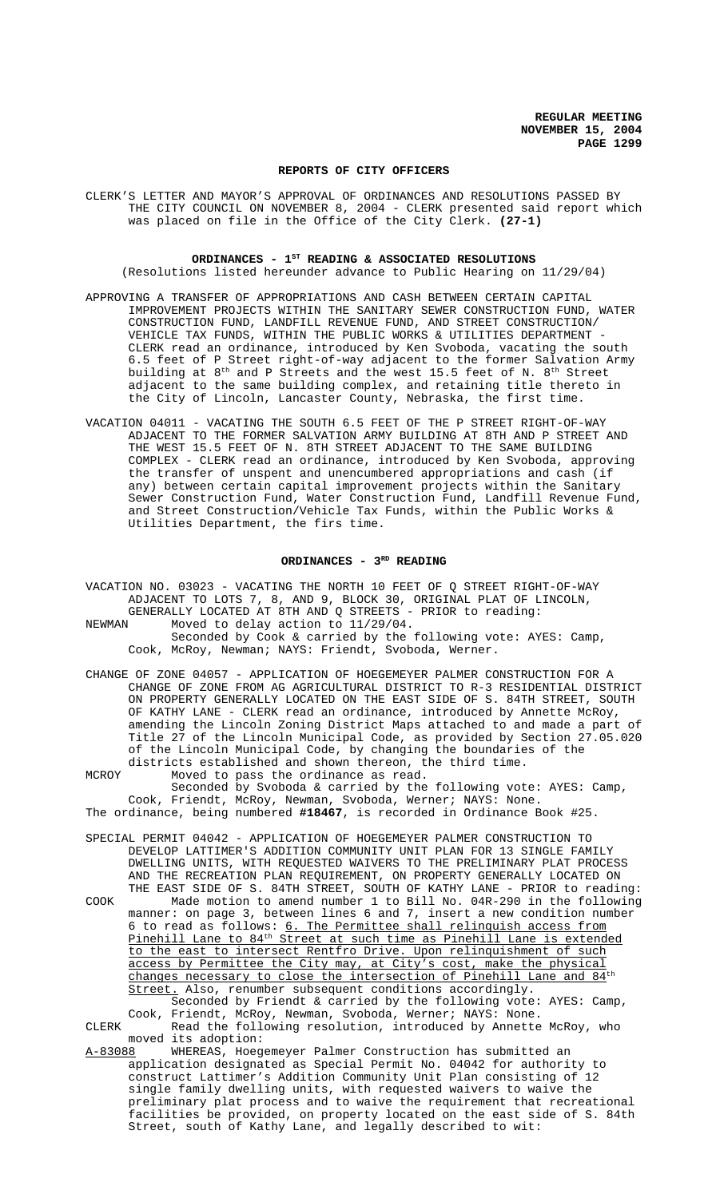### **REPORTS OF CITY OFFICERS**

CLERK'S LETTER AND MAYOR'S APPROVAL OF ORDINANCES AND RESOLUTIONS PASSED BY THE CITY COUNCIL ON NOVEMBER 8, 2004 - CLERK presented said report which was placed on file in the Office of the City Clerk. **(27-1)**

## ORDINANCES - 1<sup>st</sup> READING & ASSOCIATED RESOLUTIONS

(Resolutions listed hereunder advance to Public Hearing on 11/29/04)

- APPROVING A TRANSFER OF APPROPRIATIONS AND CASH BETWEEN CERTAIN CAPITAL IMPROVEMENT PROJECTS WITHIN THE SANITARY SEWER CONSTRUCTION FUND, WATER CONSTRUCTION FUND, LANDFILL REVENUE FUND, AND STREET CONSTRUCTION/ VEHICLE TAX FUNDS, WITHIN THE PUBLIC WORKS & UTILITIES DEPARTMENT - CLERK read an ordinance, introduced by Ken Svoboda, vacating the south 6.5 feet of P Street right-of-way adjacent to the former Salvation Army building at  $8^{\text{th}}$  and P Streets and the west 15.5 feet of N.  $8^{\text{th}}$  Street adjacent to the same building complex, and retaining title thereto in the City of Lincoln, Lancaster County, Nebraska, the first time.
- VACATION 04011 VACATING THE SOUTH 6.5 FEET OF THE P STREET RIGHT-OF-WAY ADJACENT TO THE FORMER SALVATION ARMY BUILDING AT 8TH AND P STREET AND THE WEST 15.5 FEET OF N. 8TH STREET ADJACENT TO THE SAME BUILDING COMPLEX - CLERK read an ordinance, introduced by Ken Svoboda, approving the transfer of unspent and unencumbered appropriations and cash (if any) between certain capital improvement projects within the Sanitary Sewer Construction Fund, Water Construction Fund, Landfill Revenue Fund, and Street Construction/Vehicle Tax Funds, within the Public Works & Utilities Department, the firs time.

# ORDINANCES - 3<sup>RD</sup> READING

VACATION NO. 03023 - VACATING THE NORTH 10 FEET OF Q STREET RIGHT-OF-WAY ADJACENT TO LOTS 7, 8, AND 9, BLOCK 30, ORIGINAL PLAT OF LINCOLN, GENERALLY LOCATED AT 8TH AND Q STREETS - PRIOR to reading: NEWMAN Moved to delay action to 11/29/04.

Seconded by Cook & carried by the following vote: AYES: Camp, Cook, McRoy, Newman; NAYS: Friendt, Svoboda, Werner.

- CHANGE OF ZONE 04057 APPLICATION OF HOEGEMEYER PALMER CONSTRUCTION FOR A CHANGE OF ZONE FROM AG AGRICULTURAL DISTRICT TO R-3 RESIDENTIAL DISTRICT ON PROPERTY GENERALLY LOCATED ON THE EAST SIDE OF S. 84TH STREET, SOUTH OF KATHY LANE - CLERK read an ordinance, introduced by Annette McRoy, amending the Lincoln Zoning District Maps attached to and made a part of Title 27 of the Lincoln Municipal Code, as provided by Section 27.05.020 of the Lincoln Municipal Code, by changing the boundaries of the districts established and shown thereon, the third time.
- MCROY Moved to pass the ordinance as read. Seconded by Svoboda & carried by the following vote: AYES: Camp, Cook, Friendt, McRoy, Newman, Svoboda, Werner; NAYS: None. The ordinance, being numbered **#18467**, is recorded in Ordinance Book #25.
- SPECIAL PERMIT 04042 APPLICATION OF HOEGEMEYER PALMER CONSTRUCTION TO DEVELOP LATTIMER'S ADDITION COMMUNITY UNIT PLAN FOR 13 SINGLE FAMILY DWELLING UNITS, WITH REQUESTED WAIVERS TO THE PRELIMINARY PLAT PROCESS
- AND THE RECREATION PLAN REQUIREMENT, ON PROPERTY GENERALLY LOCATED ON THE EAST SIDE OF S. 84TH STREET, SOUTH OF KATHY LANE - PRIOR to reading: COOK Made motion to amend number 1 to Bill No. 04R-290 in the following manner: on page 3, between lines 6 and 7, insert a new condition number 6 to read as follows: 6. The Permittee shall relinquish access from Pinehill Lane to 84th Street at such time as Pinehill Lane is extended to the east to intersect Rentfro Drive. Upon relinquishment of such access by Permittee the City may, at City's cost, make the physical changes necessary to close the intersection of Pinehill Lane and  $84$ <sup>th</sup> Street. Also, renumber subsequent conditions accordingly. Seconded by Friendt & carried by the following vote: AYES: Camp,

Cook, Friendt, McRoy, Newman, Svoboda, Werner; NAYS: None.

CLERK Read the following resolution, introduced by Annette McRoy, who moved its adoption:<br>A-83088 WHEREAS, Hoeg

WHEREAS, Hoegemeyer Palmer Construction has submitted an application designated as Special Permit No. 04042 for authority to construct Lattimer's Addition Community Unit Plan consisting of 12 single family dwelling units, with requested waivers to waive the preliminary plat process and to waive the requirement that recreational facilities be provided, on property located on the east side of S. 84th Street, south of Kathy Lane, and legally described to wit: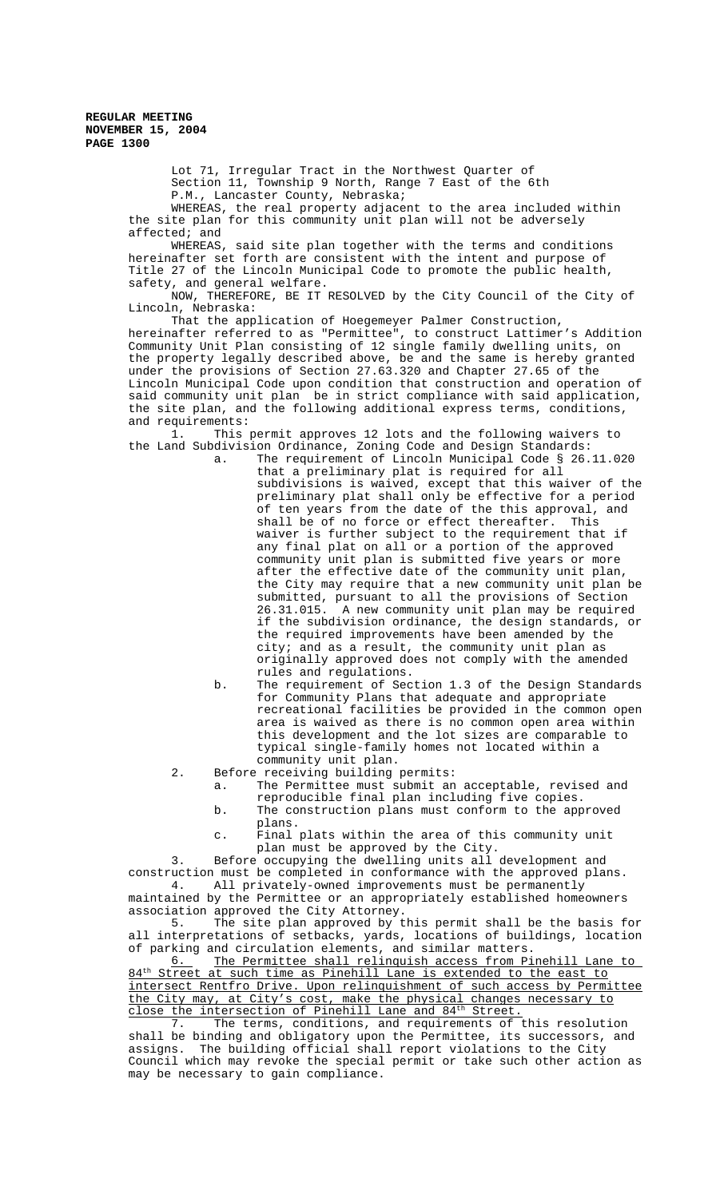Lot 71, Irregular Tract in the Northwest Quarter of Section 11, Township 9 North, Range 7 East of the 6th P.M., Lancaster County, Nebraska;

WHEREAS, the real property adjacent to the area included within the site plan for this community unit plan will not be adversely affected; and

WHEREAS, said site plan together with the terms and conditions hereinafter set forth are consistent with the intent and purpose of Title 27 of the Lincoln Municipal Code to promote the public health, safety, and general welfare.

NOW, THEREFORE, BE IT RESOLVED by the City Council of the City of Lincoln, Nebraska:

That the application of Hoegemeyer Palmer Construction, hereinafter referred to as "Permittee", to construct Lattimer's Addition Community Unit Plan consisting of 12 single family dwelling units, on the property legally described above, be and the same is hereby granted under the provisions of Section 27.63.320 and Chapter 27.65 of the Lincoln Municipal Code upon condition that construction and operation of said community unit plan be in strict compliance with said application, the site plan, and the following additional express terms, conditions, and requirements:<br>1. This

This permit approves 12 lots and the following waivers to the Land Subdivision Ordinance, Zoning Code and Design Standards:

a. The requirement of Lincoln Municipal Code § 26.11.020 that a preliminary plat is required for all subdivisions is waived, except that this waiver of the preliminary plat shall only be effective for a period of ten years from the date of the this approval, and shall be of no force or effect thereafter. This waiver is further subject to the requirement that if any final plat on all or a portion of the approved community unit plan is submitted five years or more after the effective date of the community unit plan, the City may require that a new community unit plan be submitted, pursuant to all the provisions of Section 26.31.015. A new community unit plan may be required A new community unit plan may be required if the subdivision ordinance, the design standards, or the required improvements have been amended by the city; and as a result, the community unit plan as originally approved does not comply with the amended rules and regulations.

- b. The requirement of Section 1.3 of the Design Standards for Community Plans that adequate and appropriate recreational facilities be provided in the common open area is waived as there is no common open area within this development and the lot sizes are comparable to typical single-family homes not located within a community unit plan.
- 2. Before receiving building permits:
	- a. The Permittee must submit an acceptable, revised and reproducible final plan including five copies. b. The construction plans must conform to the approved
	- plans. c. Final plats within the area of this community unit
	- plan must be approved by the City.

3. Before occupying the dwelling units all development and construction must be completed in conformance with the approved plans. 4. All privately-owned improvements must be permanently

maintained by the Permittee or an appropriately established homeowners association approved the City Attorney.<br>5. The site plan approved by t

The site plan approved by this permit shall be the basis for all interpretations of setbacks, yards, locations of buildings, location of parking and circulation elements, and similar matters.<br><u>6.</u> The Permittee shall relinquish access from Pi

6. The Permittee shall relinquish access from Pinehill Lane to 84<sup>th</sup> Street at such time as Pinehill Lane is extended to the east to intersect Rentfro Drive. Upon relinquishment of such access by Permittee the City may, at City's cost, make the physical changes necessary to close the intersection of Pinehill Lane and 84<sup>th</sup> Street.

7. The terms, conditions, and requirements of this resolution shall be binding and obligatory upon the Permittee, its successors, and assigns. The building official shall report violations to the City Council which may revoke the special permit or take such other action as may be necessary to gain compliance.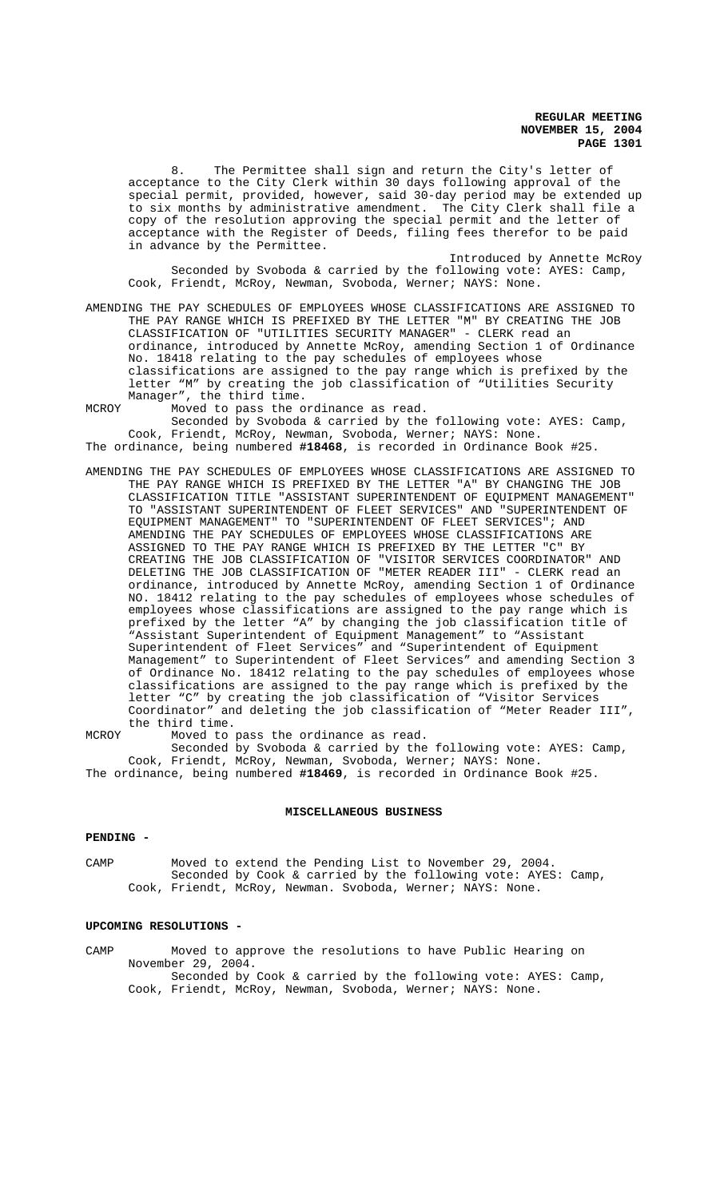8. The Permittee shall sign and return the City's letter of acceptance to the City Clerk within 30 days following approval of the special permit, provided, however, said 30-day period may be extended up to six months by administrative amendment. The City Clerk shall file a copy of the resolution approving the special permit and the letter of acceptance with the Register of Deeds, filing fees therefor to be paid in advance by the Permittee.

Introduced by Annette McRoy Seconded by Svoboda & carried by the following vote: AYES: Camp, Cook, Friendt, McRoy, Newman, Svoboda, Werner; NAYS: None.

AMENDING THE PAY SCHEDULES OF EMPLOYEES WHOSE CLASSIFICATIONS ARE ASSIGNED TO THE PAY RANGE WHICH IS PREFIXED BY THE LETTER "M" BY CREATING THE JOB CLASSIFICATION OF "UTILITIES SECURITY MANAGER" - CLERK read an ordinance, introduced by Annette McRoy, amending Section 1 of Ordinance No. 18418 relating to the pay schedules of employees whose classifications are assigned to the pay range which is prefixed by the letter "M" by creating the job classification of "Utilities Security Manager", the third time.

MCROY Moved to pass the ordinance as read. Seconded by Svoboda & carried by the following vote: AYES: Camp, Cook, Friendt, McRoy, Newman, Svoboda, Werner; NAYS: None. The ordinance, being numbered **#18468**, is recorded in Ordinance Book #25.

AMENDING THE PAY SCHEDULES OF EMPLOYEES WHOSE CLASSIFICATIONS ARE ASSIGNED TO THE PAY RANGE WHICH IS PREFIXED BY THE LETTER "A" BY CHANGING THE JOB CLASSIFICATION TITLE "ASSISTANT SUPERINTENDENT OF EQUIPMENT MANAGEMENT" TO "ASSISTANT SUPERINTENDENT OF FLEET SERVICES" AND "SUPERINTENDENT OF EQUIPMENT MANAGEMENT" TO "SUPERINTENDENT OF FLEET SERVICES"; AND AMENDING THE PAY SCHEDULES OF EMPLOYEES WHOSE CLASSIFICATIONS ARE ASSIGNED TO THE PAY RANGE WHICH IS PREFIXED BY THE LETTER "C" BY CREATING THE JOB CLASSIFICATION OF "VISITOR SERVICES COORDINATOR" AND DELETING THE JOB CLASSIFICATION OF "METER READER III" - CLERK read an ordinance, introduced by Annette McRoy, amending Section 1 of Ordinance NO. 18412 relating to the pay schedules of employees whose schedules of employees whose classifications are assigned to the pay range which is prefixed by the letter "A" by changing the job classification title of "Assistant Superintendent of Equipment Management" to "Assistant Superintendent of Fleet Services" and "Superintendent of Equipment Management" to Superintendent of Fleet Services" and amending Section 3 of Ordinance No. 18412 relating to the pay schedules of employees whose classifications are assigned to the pay range which is prefixed by the letter "C" by creating the job classification of "Visitor Services Coordinator" and deleting the job classification of "Meter Reader III", the third time.

MCROY Moved to pass the ordinance as read. Seconded by Svoboda & carried by the following vote: AYES: Camp, Cook, Friendt, McRoy, Newman, Svoboda, Werner; NAYS: None. The ordinance, being numbered **#18469**, is recorded in Ordinance Book #25.

### **MISCELLANEOUS BUSINESS**

#### **PENDING -**

CAMP Moved to extend the Pending List to November 29, 2004. Seconded by Cook & carried by the following vote: AYES: Camp, Cook, Friendt, McRoy, Newman. Svoboda, Werner; NAYS: None.

### **UPCOMING RESOLUTIONS -**

CAMP Moved to approve the resolutions to have Public Hearing on November 29, 2004. Seconded by Cook & carried by the following vote: AYES: Camp, Cook, Friendt, McRoy, Newman, Svoboda, Werner; NAYS: None.